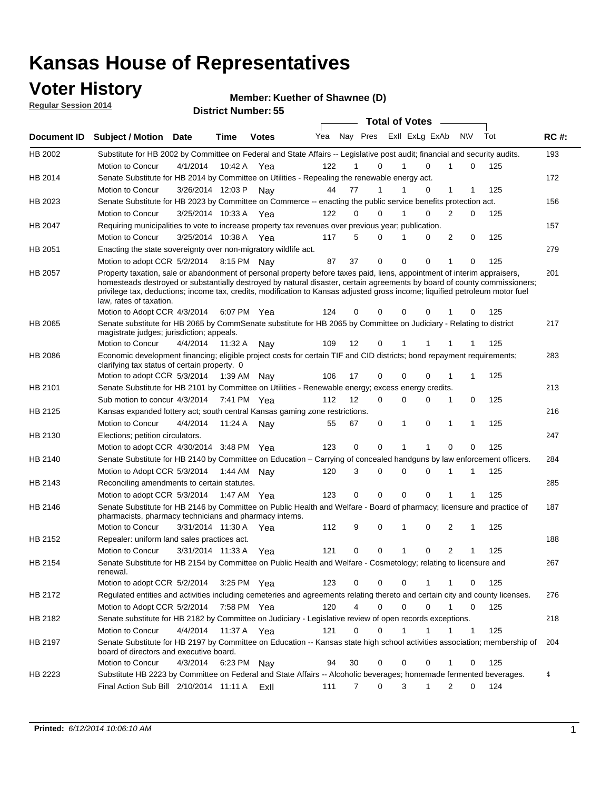### **Voter History**

**Regular Session 2014**

#### **Member: Kuether of Shawnee (D)**

|                |                                                                                                                                                                                                                                                                                                                                                                                                                  |                       |             | DISTRICT MAILINGLESS |     |    |                  | <b>Total of Votes</b> |                          |             |     |             |
|----------------|------------------------------------------------------------------------------------------------------------------------------------------------------------------------------------------------------------------------------------------------------------------------------------------------------------------------------------------------------------------------------------------------------------------|-----------------------|-------------|----------------------|-----|----|------------------|-----------------------|--------------------------|-------------|-----|-------------|
| Document ID    | <b>Subject / Motion</b>                                                                                                                                                                                                                                                                                                                                                                                          | <b>Date</b>           | Time        | <b>Votes</b>         | Yea |    | Nay Pres         |                       | Exll ExLg ExAb           | <b>NV</b>   | Tot | <b>RC#:</b> |
| HB 2002        | Substitute for HB 2002 by Committee on Federal and State Affairs -- Legislative post audit; financial and security audits.                                                                                                                                                                                                                                                                                       |                       |             |                      |     |    |                  |                       |                          |             |     | 193         |
|                | Motion to Concur                                                                                                                                                                                                                                                                                                                                                                                                 | 4/1/2014              |             | 10:42 A Yea          | 122 |    | $\Omega$         |                       | $\Omega$                 | 0           | 125 |             |
| HB 2014        | Senate Substitute for HB 2014 by Committee on Utilities - Repealing the renewable energy act.                                                                                                                                                                                                                                                                                                                    |                       |             |                      |     |    |                  |                       |                          |             |     | 172         |
|                | Motion to Concur                                                                                                                                                                                                                                                                                                                                                                                                 | 3/26/2014 12:03 P     |             | Nav                  | 44  | 77 |                  |                       | 0                        | 1           | 125 |             |
| HB 2023        | Senate Substitute for HB 2023 by Committee on Commerce -- enacting the public service benefits protection act.                                                                                                                                                                                                                                                                                                   |                       |             |                      |     |    |                  |                       |                          |             |     | 156         |
|                | Motion to Concur                                                                                                                                                                                                                                                                                                                                                                                                 | 3/25/2014 10:33 A Yea |             |                      | 122 |    | 0<br>0           |                       | 0                        | 2<br>0      | 125 |             |
| HB 2047        | Requiring municipalities to vote to increase property tax revenues over previous year; publication.                                                                                                                                                                                                                                                                                                              |                       |             |                      |     |    |                  |                       |                          |             |     | 157         |
|                | Motion to Concur                                                                                                                                                                                                                                                                                                                                                                                                 | 3/25/2014 10:38 A     |             | Yea                  | 117 |    | 5<br>0           |                       | 0                        | 2<br>0      | 125 |             |
| HB 2051        | Enacting the state sovereignty over non-migratory wildlife act.                                                                                                                                                                                                                                                                                                                                                  |                       |             |                      |     |    |                  |                       |                          |             |     | 279         |
|                | Motion to adopt CCR 5/2/2014                                                                                                                                                                                                                                                                                                                                                                                     |                       | 8:15 PM Nav |                      | 87  | 37 | 0                | $\Omega$              | $\Omega$<br>1            | 0           | 125 |             |
| HB 2057        | Property taxation, sale or abandonment of personal property before taxes paid, liens, appointment of interim appraisers,<br>homesteads destroyed or substantially destroyed by natural disaster, certain agreements by board of county commissioners;<br>privilege tax, deductions; income tax, credits, modification to Kansas adjusted gross income; liquified petroleum motor fuel<br>law, rates of taxation. |                       |             |                      |     |    |                  |                       |                          |             |     | 201         |
|                | Motion to Adopt CCR 4/3/2014                                                                                                                                                                                                                                                                                                                                                                                     |                       |             | 6:07 PM Yea          | 124 |    | 0<br>0           | $\Omega$              | 0                        | 0           | 125 |             |
| HB 2065        | Senate substitute for HB 2065 by CommSenate substitute for HB 2065 by Committee on Judiciary - Relating to district<br>magistrate judges; jurisdiction; appeals.                                                                                                                                                                                                                                                 |                       |             |                      |     |    |                  |                       |                          |             |     | 217         |
|                | Motion to Concur                                                                                                                                                                                                                                                                                                                                                                                                 | 4/4/2014 11:32 A Nay  |             |                      | 109 | 12 | $\mathbf 0$      | 1                     | -1                       |             | 125 |             |
| <b>HB 2086</b> | Economic development financing; eligible project costs for certain TIF and CID districts; bond repayment requirements;<br>clarifying tax status of certain property. 0                                                                                                                                                                                                                                           |                       |             |                      |     |    |                  |                       |                          |             |     | 283         |
|                | Motion to adopt CCR 5/3/2014 1:39 AM Nay                                                                                                                                                                                                                                                                                                                                                                         |                       |             |                      | 106 | 17 | 0                | $\mathbf 0$           | 0                        | 1           | 125 |             |
| HB 2101        | Senate Substitute for HB 2101 by Committee on Utilities - Renewable energy; excess energy credits.                                                                                                                                                                                                                                                                                                               |                       |             |                      |     |    |                  |                       |                          |             |     | 213         |
|                | Sub motion to concur 4/3/2014                                                                                                                                                                                                                                                                                                                                                                                    |                       |             | 7:41 PM Yea          | 112 | 12 | 0                | $\mathbf 0$           | $\mathbf 0$              | 1<br>0      | 125 |             |
| HB 2125        | Kansas expanded lottery act; south central Kansas gaming zone restrictions.                                                                                                                                                                                                                                                                                                                                      |                       |             |                      |     |    |                  |                       |                          |             |     | 216         |
|                | Motion to Concur                                                                                                                                                                                                                                                                                                                                                                                                 | 4/4/2014              | 11:24 A     | Nav                  | 55  | 67 | 0                | 1                     | $\mathbf 0$<br>1         | 1           | 125 |             |
| HB 2130        | Elections; petition circulators.                                                                                                                                                                                                                                                                                                                                                                                 |                       |             |                      |     |    |                  |                       |                          |             |     | 247         |
|                | Motion to adopt CCR 4/30/2014 3:48 PM Yea                                                                                                                                                                                                                                                                                                                                                                        |                       |             |                      | 123 |    | 0<br>0           | 1                     |                          | 0<br>0      | 125 |             |
| HB 2140        | Senate Substitute for HB 2140 by Committee on Education – Carrying of concealed handguns by law enforcement officers.                                                                                                                                                                                                                                                                                            |                       |             |                      |     |    |                  |                       |                          |             |     | 284         |
|                | Motion to Adopt CCR 5/3/2014                                                                                                                                                                                                                                                                                                                                                                                     |                       |             | 1:44 AM Nav          | 120 |    | 3<br>0           | 0                     | $\mathbf 0$<br>1         | 1           | 125 |             |
| HB 2143        | Reconciling amendments to certain statutes.                                                                                                                                                                                                                                                                                                                                                                      |                       |             |                      |     |    |                  |                       |                          |             |     | 285         |
|                | Motion to adopt CCR 5/3/2014                                                                                                                                                                                                                                                                                                                                                                                     |                       |             | 1:47 AM Yea          | 123 |    | 0<br>0           | $\mathbf 0$           | $\mathbf 0$<br>1         | 1           | 125 |             |
| HB 2146        | Senate Substitute for HB 2146 by Committee on Public Health and Welfare - Board of pharmacy; licensure and practice of<br>pharmacists, pharmacy technicians and pharmacy interns.                                                                                                                                                                                                                                |                       |             |                      |     |    |                  |                       |                          |             |     | 187         |
|                | Motion to Concur                                                                                                                                                                                                                                                                                                                                                                                                 | 3/31/2014 11:30 A     |             | Yea                  | 112 |    | 9<br>0           | 1                     | $\mathbf 0$              | 2<br>1      | 125 |             |
| HB 2152        | Repealer: uniform land sales practices act.                                                                                                                                                                                                                                                                                                                                                                      |                       |             |                      |     |    |                  |                       |                          |             |     | 188         |
|                | <b>Motion to Concur</b>                                                                                                                                                                                                                                                                                                                                                                                          | 3/31/2014 11:33 A     |             | Yea                  | 121 |    | 0<br>0           | 1                     | 0                        | 2<br>1      | 125 |             |
| HB 2154        | Senate Substitute for HB 2154 by Committee on Public Health and Welfare - Cosmetology; relating to licensure and<br>renewal.                                                                                                                                                                                                                                                                                     |                       |             |                      |     |    |                  |                       |                          |             |     | 267         |
|                | Motion to adopt CCR 5/2/2014 3:25 PM Yea                                                                                                                                                                                                                                                                                                                                                                         |                       |             |                      | 123 |    | 0<br>0           | $\mathbf 0$           |                          | 0           | 125 |             |
| HB 2172        | Regulated entities and activities including cemeteries and agreements relating thereto and certain city and county licenses.                                                                                                                                                                                                                                                                                     |                       |             |                      |     |    |                  |                       |                          |             |     | 276         |
|                | Motion to Adopt CCR 5/2/2014                                                                                                                                                                                                                                                                                                                                                                                     |                       | 7:58 PM Yea |                      | 120 |    | 4<br>$\mathbf 0$ | $\mathbf 0$           | $\Omega$<br>$\mathbf{1}$ | $\mathbf 0$ | 125 |             |
| HB 2182        | Senate substitute for HB 2182 by Committee on Judiciary - Legislative review of open records exceptions.                                                                                                                                                                                                                                                                                                         |                       |             |                      |     |    |                  |                       |                          |             |     | 218         |
|                | Motion to Concur                                                                                                                                                                                                                                                                                                                                                                                                 | 4/4/2014 11:37 A Yea  |             |                      | 121 |    | $\mathbf 0$<br>0 | 1                     | 1<br>1                   | 1           | 125 |             |
| HB 2197        | Senate Substitute for HB 2197 by Committee on Education -- Kansas state high school activities association; membership of<br>board of directors and executive board.                                                                                                                                                                                                                                             |                       |             |                      |     |    |                  |                       |                          |             |     | 204         |
|                | Motion to Concur                                                                                                                                                                                                                                                                                                                                                                                                 | 4/3/2014              |             | 6:23 PM Nay          | 94  | 30 | 0                | 0                     | 0                        | 0           | 125 |             |
| HB 2223        | Substitute HB 2223 by Committee on Federal and State Affairs -- Alcoholic beverages; homemade fermented beverages.                                                                                                                                                                                                                                                                                               |                       |             |                      |     |    |                  |                       |                          |             |     | 4           |
|                | Final Action Sub Bill 2/10/2014 11:11 A Exll                                                                                                                                                                                                                                                                                                                                                                     |                       |             |                      | 111 |    | 0<br>7           | 3                     | 1                        | 2<br>0      | 124 |             |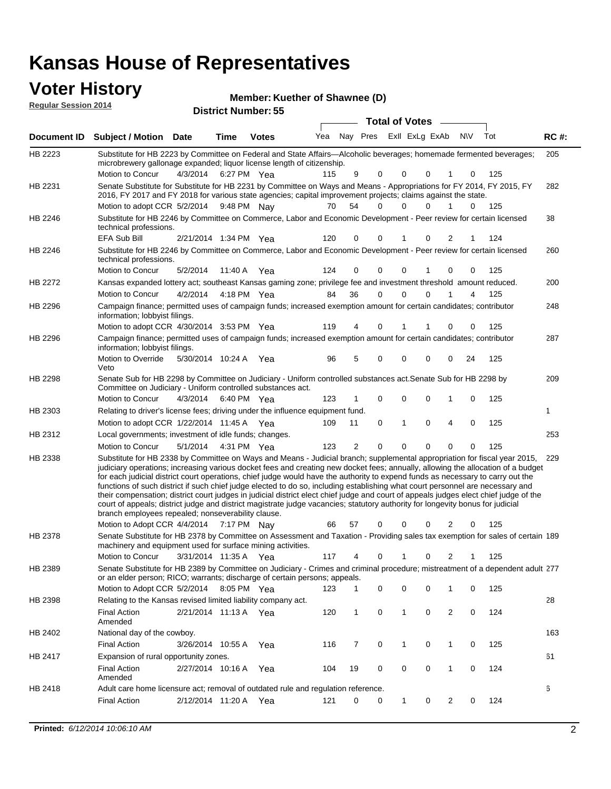### **Voter History**

| <b>VULGE LIBLUI Y</b><br><b>Reqular Session 2014</b> |                                                                                                                                                                                                                                        |                      |         | <b>District Number: 55</b> | Member: Kuether of Shawnee (D) |     |          |                       |          |           |     |             |
|------------------------------------------------------|----------------------------------------------------------------------------------------------------------------------------------------------------------------------------------------------------------------------------------------|----------------------|---------|----------------------------|--------------------------------|-----|----------|-----------------------|----------|-----------|-----|-------------|
|                                                      |                                                                                                                                                                                                                                        |                      |         |                            |                                |     |          | <b>Total of Votes</b> |          |           |     |             |
| Document ID                                          | <b>Subject / Motion</b>                                                                                                                                                                                                                | <b>Date</b>          | Time    | <b>Votes</b>               | Yea                            | Nav | Pres     | Exll ExLg ExAb        |          | <b>NV</b> | Tot | <b>RC#:</b> |
| HB 2223                                              | Substitute for HB 2223 by Committee on Federal and State Affairs—Alcoholic beverages; homemade fermented beverages;<br>microbrewery gallonage expanded; liquor license length of citizenship.                                          |                      |         |                            |                                |     |          |                       |          |           |     | 205         |
|                                                      | Motion to Concur                                                                                                                                                                                                                       | 4/3/2014 6:27 PM Yea |         |                            | 115                            | 9   | $\Omega$ | $\Omega$              | $\Omega$ |           | 125 |             |
| HB 2231                                              | Senate Substitute for Substitute for HB 2231 by Committee on Ways and Means - Appropriations for FY 2014, FY 2015, FY<br>2016, FY 2017 and FY 2018 for various state agencies; capital improvement projects; claims against the state. |                      |         |                            |                                |     |          |                       |          |           |     | 282         |
|                                                      | Motion to adopt CCR 5/2/2014                                                                                                                                                                                                           |                      | 9:48 PM | Nav                        | 70                             | 54  | 0        | 0                     |          |           | 125 |             |
|                                                      |                                                                                                                                                                                                                                        |                      |         |                            |                                |     |          |                       |          |           |     |             |

|                | Motion to adopt CCR 5/2/2014 9:48 PM Nay                                                                                                                                                                                                                                                                                                                                                                                                                                                                                                                                                                                                                                                                                                                                                                                                                            |                       |             |     | 70  | 54             | 0        | 0            | 0           | 1              | 0           | 125 |     |
|----------------|---------------------------------------------------------------------------------------------------------------------------------------------------------------------------------------------------------------------------------------------------------------------------------------------------------------------------------------------------------------------------------------------------------------------------------------------------------------------------------------------------------------------------------------------------------------------------------------------------------------------------------------------------------------------------------------------------------------------------------------------------------------------------------------------------------------------------------------------------------------------|-----------------------|-------------|-----|-----|----------------|----------|--------------|-------------|----------------|-------------|-----|-----|
| HB 2246        | Substitute for HB 2246 by Committee on Commerce, Labor and Economic Development - Peer review for certain licensed<br>technical professions.                                                                                                                                                                                                                                                                                                                                                                                                                                                                                                                                                                                                                                                                                                                        |                       |             |     |     |                |          |              |             |                |             |     | 38  |
|                | EFA Sub Bill                                                                                                                                                                                                                                                                                                                                                                                                                                                                                                                                                                                                                                                                                                                                                                                                                                                        | 2/21/2014 1:34 PM Yea |             |     | 120 | 0              | 0        | 1            | $\Omega$    | 2              |             | 124 |     |
| HB 2246        | Substitute for HB 2246 by Committee on Commerce, Labor and Economic Development - Peer review for certain licensed<br>technical professions.                                                                                                                                                                                                                                                                                                                                                                                                                                                                                                                                                                                                                                                                                                                        |                       |             |     |     |                |          |              |             |                |             |     | 260 |
|                | Motion to Concur                                                                                                                                                                                                                                                                                                                                                                                                                                                                                                                                                                                                                                                                                                                                                                                                                                                    | 5/2/2014              | 11:40 A     | Yea | 124 | 0              | 0        | 0            | 1           | 0              | 0           | 125 |     |
| HB 2272        | Kansas expanded lottery act; southeast Kansas gaming zone; privilege fee and investment threshold amount reduced.                                                                                                                                                                                                                                                                                                                                                                                                                                                                                                                                                                                                                                                                                                                                                   |                       |             |     |     |                |          |              |             |                |             |     | 200 |
|                | Motion to Concur                                                                                                                                                                                                                                                                                                                                                                                                                                                                                                                                                                                                                                                                                                                                                                                                                                                    | 4/2/2014              | 4:18 PM Yea |     | 84  | 36             | $\Omega$ | $\Omega$     | $\Omega$    | 1              | 4           | 125 |     |
| HB 2296        | Campaign finance; permitted uses of campaign funds; increased exemption amount for certain candidates; contributor<br>information; lobbyist filings.                                                                                                                                                                                                                                                                                                                                                                                                                                                                                                                                                                                                                                                                                                                |                       |             |     |     |                |          |              |             |                |             |     | 248 |
|                | Motion to adopt CCR 4/30/2014 3:53 PM Yea                                                                                                                                                                                                                                                                                                                                                                                                                                                                                                                                                                                                                                                                                                                                                                                                                           |                       |             |     | 119 | 4              | 0        |              |             | 0              | $\mathbf 0$ | 125 |     |
| HB 2296        | Campaign finance; permitted uses of campaign funds; increased exemption amount for certain candidates; contributor<br>information; lobbyist filings.                                                                                                                                                                                                                                                                                                                                                                                                                                                                                                                                                                                                                                                                                                                |                       |             |     |     |                |          |              |             |                |             |     | 287 |
|                | Motion to Override<br>Veto                                                                                                                                                                                                                                                                                                                                                                                                                                                                                                                                                                                                                                                                                                                                                                                                                                          | 5/30/2014 10:24 A Yea |             |     | 96  | 5              | 0        | 0            | 0           | 0              | 24          | 125 |     |
| HB 2298        | Senate Sub for HB 2298 by Committee on Judiciary - Uniform controlled substances act. Senate Sub for HB 2298 by<br>Committee on Judiciary - Uniform controlled substances act.                                                                                                                                                                                                                                                                                                                                                                                                                                                                                                                                                                                                                                                                                      |                       |             |     |     |                |          |              |             |                |             |     | 209 |
|                | Motion to Concur                                                                                                                                                                                                                                                                                                                                                                                                                                                                                                                                                                                                                                                                                                                                                                                                                                                    | 4/3/2014              | 6:40 PM Yea |     | 123 | 1              | 0        | 0            | $\mathbf 0$ | 1              | 0           | 125 |     |
| HB 2303        | Relating to driver's license fees; driving under the influence equipment fund.                                                                                                                                                                                                                                                                                                                                                                                                                                                                                                                                                                                                                                                                                                                                                                                      |                       |             |     |     |                |          |              |             |                |             |     | 1   |
|                | Motion to adopt CCR 1/22/2014 11:45 A Yea                                                                                                                                                                                                                                                                                                                                                                                                                                                                                                                                                                                                                                                                                                                                                                                                                           |                       |             |     | 109 | 11             | 0        | $\mathbf{1}$ | $\mathbf 0$ | 4              | $\mathbf 0$ | 125 |     |
| HB 2312        | Local governments; investment of idle funds; changes.                                                                                                                                                                                                                                                                                                                                                                                                                                                                                                                                                                                                                                                                                                                                                                                                               |                       |             |     |     |                |          |              |             |                |             |     | 253 |
|                | Motion to Concur                                                                                                                                                                                                                                                                                                                                                                                                                                                                                                                                                                                                                                                                                                                                                                                                                                                    | 5/1/2014              | 4:31 PM Yea |     | 123 | $\overline{2}$ | 0        | 0            | 0           | 0              | 0           | 125 |     |
| HB 2338        | Substitute for HB 2338 by Committee on Ways and Means - Judicial branch; supplemental appropriation for fiscal year 2015,<br>judiciary operations; increasing various docket fees and creating new docket fees; annually, allowing the allocation of a budget<br>for each judicial district court operations, chief judge would have the authority to expend funds as necessary to carry out the<br>functions of such district if such chief judge elected to do so, including establishing what court personnel are necessary and<br>their compensation; district court judges in judicial district elect chief judge and court of appeals judges elect chief judge of the<br>court of appeals; district judge and district magistrate judge vacancies; statutory authority for longevity bonus for judicial<br>branch employees repealed; nonseverability clause. |                       |             |     |     |                |          |              |             |                |             |     | 229 |
|                | Motion to Adopt CCR 4/4/2014                                                                                                                                                                                                                                                                                                                                                                                                                                                                                                                                                                                                                                                                                                                                                                                                                                        |                       | 7:17 PM Nay |     | 66  | 57             | 0        | 0            | 0           | 2              | 0           | 125 |     |
| HB 2378        | Senate Substitute for HB 2378 by Committee on Assessment and Taxation - Providing sales tax exemption for sales of certain 189<br>machinery and equipment used for surface mining activities.                                                                                                                                                                                                                                                                                                                                                                                                                                                                                                                                                                                                                                                                       |                       |             |     |     |                |          |              |             |                |             |     |     |
|                | Motion to Concur                                                                                                                                                                                                                                                                                                                                                                                                                                                                                                                                                                                                                                                                                                                                                                                                                                                    | 3/31/2014 11:35 A Yea |             |     | 117 | 4              | 0        | 1            | 0           | 2              | 1           | 125 |     |
| HB 2389        | Senate Substitute for HB 2389 by Committee on Judiciary - Crimes and criminal procedure; mistreatment of a dependent adult 277<br>or an elder person; RICO; warrants; discharge of certain persons; appeals.                                                                                                                                                                                                                                                                                                                                                                                                                                                                                                                                                                                                                                                        |                       |             |     |     |                |          |              |             |                |             |     |     |
|                | Motion to Adopt CCR 5/2/2014 8:05 PM Yea                                                                                                                                                                                                                                                                                                                                                                                                                                                                                                                                                                                                                                                                                                                                                                                                                            |                       |             |     | 123 | $\mathbf 1$    | 0        | 0            | 0           | 1              | 0           | 125 |     |
| HB 2398        | Relating to the Kansas revised limited liability company act.                                                                                                                                                                                                                                                                                                                                                                                                                                                                                                                                                                                                                                                                                                                                                                                                       |                       |             |     |     |                |          |              |             |                |             |     | 28  |
|                | <b>Final Action</b><br>Amended                                                                                                                                                                                                                                                                                                                                                                                                                                                                                                                                                                                                                                                                                                                                                                                                                                      | 2/21/2014 11:13 A     |             | Yea | 120 | $\mathbf{1}$   | 0        | $\mathbf{1}$ | $\mathbf 0$ | $\overline{2}$ | $\mathbf 0$ | 124 |     |
| HB 2402        | National day of the cowboy.                                                                                                                                                                                                                                                                                                                                                                                                                                                                                                                                                                                                                                                                                                                                                                                                                                         |                       |             |     |     |                |          |              |             |                |             |     | 163 |
|                | <b>Final Action</b>                                                                                                                                                                                                                                                                                                                                                                                                                                                                                                                                                                                                                                                                                                                                                                                                                                                 | 3/26/2014 10:55 A     |             | Yea | 116 | 7              | 0        | $\mathbf{1}$ | $\mathbf 0$ | 1              | $\mathbf 0$ | 125 |     |
| <b>HB 2417</b> | Expansion of rural opportunity zones.                                                                                                                                                                                                                                                                                                                                                                                                                                                                                                                                                                                                                                                                                                                                                                                                                               |                       |             |     |     |                |          |              |             |                |             |     | 61  |
|                | <b>Final Action</b><br>Amended                                                                                                                                                                                                                                                                                                                                                                                                                                                                                                                                                                                                                                                                                                                                                                                                                                      | 2/27/2014 10:16 A     |             | Yea | 104 | 19             | 0        | 0            | 0           | 1              | 0           | 124 |     |
| HB 2418        | Adult care home licensure act; removal of outdated rule and regulation reference.                                                                                                                                                                                                                                                                                                                                                                                                                                                                                                                                                                                                                                                                                                                                                                                   |                       |             |     |     |                |          |              |             |                |             |     | 6   |
|                | <b>Final Action</b>                                                                                                                                                                                                                                                                                                                                                                                                                                                                                                                                                                                                                                                                                                                                                                                                                                                 | 2/12/2014 11:20 A     |             | Yea | 121 | 0              | 0        | $\mathbf{1}$ | 0           | $\overline{2}$ | 0           | 124 |     |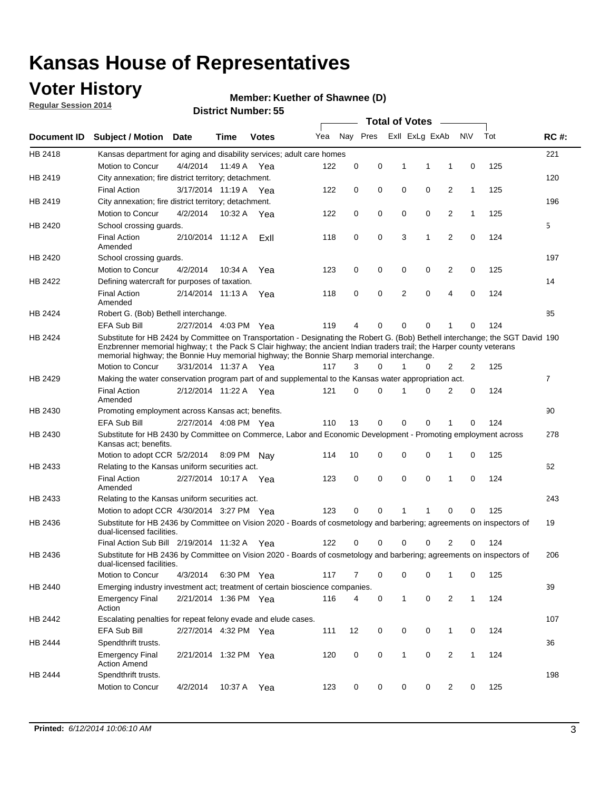## **Voter History**

**Regular Session 2014**

#### **Member: Kuether of Shawnee (D)**

|                    |                                                                                                                                                                                                                                                                                                                                                      |                       |             | DISTRICT MAILINGLESS |     |          |          |   | <b>Total of Votes</b> | $\sim$         |              |     |                |
|--------------------|------------------------------------------------------------------------------------------------------------------------------------------------------------------------------------------------------------------------------------------------------------------------------------------------------------------------------------------------------|-----------------------|-------------|----------------------|-----|----------|----------|---|-----------------------|----------------|--------------|-----|----------------|
| <b>Document ID</b> | <b>Subject / Motion</b>                                                                                                                                                                                                                                                                                                                              | Date                  | Time        | <b>Votes</b>         | Yea |          | Nay Pres |   | Exll ExLg ExAb        |                | <b>NV</b>    | Tot | <b>RC#:</b>    |
| HB 2418            | Kansas department for aging and disability services; adult care homes                                                                                                                                                                                                                                                                                |                       |             |                      |     |          |          |   |                       |                |              |     | 221            |
|                    | Motion to Concur                                                                                                                                                                                                                                                                                                                                     | 4/4/2014              | 11:49 A     | Yea                  | 122 | 0        | 0        | 1 | 1                     | 1              | 0            | 125 |                |
| HB 2419            | City annexation; fire district territory; detachment.                                                                                                                                                                                                                                                                                                |                       |             |                      |     |          |          |   |                       |                |              |     | 120            |
|                    | <b>Final Action</b>                                                                                                                                                                                                                                                                                                                                  | 3/17/2014 11:19 A Yea |             |                      | 122 | 0        | 0        | 0 | 0                     | 2              | $\mathbf{1}$ | 125 |                |
| HB 2419            | City annexation; fire district territory; detachment.                                                                                                                                                                                                                                                                                                |                       |             |                      |     |          |          |   |                       |                |              |     | 196            |
|                    | Motion to Concur                                                                                                                                                                                                                                                                                                                                     | 4/2/2014              | 10:32 A     | Yea                  | 122 | 0        | 0        | 0 | 0                     | 2              | $\mathbf{1}$ | 125 |                |
| HB 2420            | School crossing guards.                                                                                                                                                                                                                                                                                                                              |                       |             |                      |     |          |          |   |                       |                |              |     | 5              |
|                    | <b>Final Action</b><br>Amended                                                                                                                                                                                                                                                                                                                       | 2/10/2014 11:12 A     |             | ExII                 | 118 | 0        | 0        | 3 | 1                     | $\overline{2}$ | 0            | 124 |                |
| HB 2420            | School crossing guards.                                                                                                                                                                                                                                                                                                                              |                       |             |                      |     |          |          |   |                       |                |              |     | 197            |
|                    | Motion to Concur                                                                                                                                                                                                                                                                                                                                     | 4/2/2014              | 10:34 A     | Yea                  | 123 | 0        | 0        | 0 | 0                     | 2              | 0            | 125 |                |
| HB 2422            | Defining watercraft for purposes of taxation.                                                                                                                                                                                                                                                                                                        |                       |             |                      |     |          |          |   |                       |                |              |     | 14             |
|                    | <b>Final Action</b><br>Amended                                                                                                                                                                                                                                                                                                                       | 2/14/2014 11:13 A     |             | Yea                  | 118 | 0        | 0        | 2 | $\mathbf 0$           | 4              | 0            | 124 |                |
| HB 2424            | Robert G. (Bob) Bethell interchange.                                                                                                                                                                                                                                                                                                                 |                       |             |                      |     |          |          |   |                       |                |              |     | 85             |
|                    | <b>EFA Sub Bill</b>                                                                                                                                                                                                                                                                                                                                  | 2/27/2014 4:03 PM Yea |             |                      | 119 | 4        | 0        | 0 | $\mathbf 0$           | 1              | 0            | 124 |                |
| HB 2424            | Substitute for HB 2424 by Committee on Transportation - Designating the Robert G. (Bob) Bethell interchange; the SGT David 190<br>Enzbrenner memorial highway; t the Pack S Clair highway; the ancient Indian traders trail; the Harper county veterans<br>memorial highway; the Bonnie Huy memorial highway; the Bonnie Sharp memorial interchange. |                       |             |                      |     |          |          |   |                       |                |              |     |                |
|                    | Motion to Concur                                                                                                                                                                                                                                                                                                                                     | 3/31/2014 11:37 A Yea |             |                      | 117 | 3        | $\Omega$ | 1 | 0                     | 2              | 2            | 125 |                |
| HB 2429            | Making the water conservation program part of and supplemental to the Kansas water appropriation act.                                                                                                                                                                                                                                                |                       |             |                      |     |          |          |   |                       |                |              |     | $\overline{7}$ |
|                    | <b>Final Action</b><br>Amended                                                                                                                                                                                                                                                                                                                       | 2/12/2014 11:22 A Yea |             |                      | 121 | $\Omega$ | 0        | 1 | $\Omega$              | 2              | 0            | 124 |                |
| HB 2430            | Promoting employment across Kansas act; benefits.                                                                                                                                                                                                                                                                                                    |                       |             |                      |     |          |          |   |                       |                |              |     | 90             |
|                    | <b>EFA Sub Bill</b>                                                                                                                                                                                                                                                                                                                                  | 2/27/2014 4:08 PM Yea |             |                      | 110 | 13       | 0        | 0 | 0                     | 1              | 0            | 124 |                |
| HB 2430            | Substitute for HB 2430 by Committee on Commerce, Labor and Economic Development - Promoting employment across<br>Kansas act; benefits.                                                                                                                                                                                                               |                       |             |                      |     |          |          |   |                       |                |              |     | 278            |
|                    | Motion to adopt CCR 5/2/2014                                                                                                                                                                                                                                                                                                                         |                       | 8:09 PM     | Nav                  | 114 | 10       | 0        | 0 | 0                     | 1              | 0            | 125 |                |
| HB 2433            | Relating to the Kansas uniform securities act.                                                                                                                                                                                                                                                                                                       |                       |             |                      |     |          |          |   |                       |                |              |     | 62             |
|                    | <b>Final Action</b><br>Amended                                                                                                                                                                                                                                                                                                                       | 2/27/2014 10:17 A Yea |             |                      | 123 | 0        | 0        | 0 | $\mathbf 0$           | 1              | 0            | 124 |                |
| HB 2433            | Relating to the Kansas uniform securities act.                                                                                                                                                                                                                                                                                                       |                       |             |                      |     |          |          |   |                       |                |              |     | 243            |
|                    | Motion to adopt CCR 4/30/2014 3:27 PM Yea                                                                                                                                                                                                                                                                                                            |                       |             |                      | 123 | $\Omega$ | 0        | 1 | 1                     | 0              | 0            | 125 |                |
| HB 2436            | Substitute for HB 2436 by Committee on Vision 2020 - Boards of cosmetology and barbering; agreements on inspectors of<br>dual-licensed facilities.                                                                                                                                                                                                   |                       |             |                      |     |          |          |   |                       |                |              |     | 19             |
|                    | Final Action Sub Bill 2/19/2014 11:32 A                                                                                                                                                                                                                                                                                                              |                       |             | Yea                  | 122 | O        | 0        | 0 | 0                     | 2              | 0            | 124 |                |
| HB 2436            | Substitute for HB 2436 by Committee on Vision 2020 - Boards of cosmetology and barbering; agreements on inspectors of<br>dual-licensed facilities.                                                                                                                                                                                                   |                       |             |                      |     |          |          |   |                       |                |              |     | 206            |
|                    | Motion to Concur                                                                                                                                                                                                                                                                                                                                     | 4/3/2014              | 6:30 PM Yea |                      | 117 | 7        | 0        | 0 | 0                     | 1              | 0            | 125 |                |
| HB 2440            | Emerging industry investment act; treatment of certain bioscience companies.                                                                                                                                                                                                                                                                         |                       |             |                      |     |          |          |   |                       |                |              |     | 39             |
|                    | <b>Emergency Final</b><br>Action                                                                                                                                                                                                                                                                                                                     | 2/21/2014 1:36 PM Yea |             |                      | 116 | 4        | 0        | 1 | 0                     | 2              | $\mathbf{1}$ | 124 |                |
| HB 2442            | Escalating penalties for repeat felony evade and elude cases.                                                                                                                                                                                                                                                                                        |                       |             |                      |     |          |          |   |                       |                |              |     | 107            |
|                    | EFA Sub Bill                                                                                                                                                                                                                                                                                                                                         | 2/27/2014 4:32 PM Yea |             |                      | 111 | 12       | 0        | 0 | 0                     | $\mathbf{1}$   | 0            | 124 |                |
| HB 2444            | Spendthrift trusts.                                                                                                                                                                                                                                                                                                                                  |                       |             |                      |     |          |          |   |                       |                |              |     | 36             |
|                    | <b>Emergency Final</b><br><b>Action Amend</b>                                                                                                                                                                                                                                                                                                        | 2/21/2014 1:32 PM Yea |             |                      | 120 | 0        | 0        | 1 | 0                     | $\overline{2}$ | $\mathbf{1}$ | 124 |                |
| HB 2444            | Spendthrift trusts.<br>Motion to Concur                                                                                                                                                                                                                                                                                                              | 4/2/2014              | 10:37 A Yea |                      | 123 | 0        | 0        | 0 | 0                     | 2              | 0            | 125 | 198            |
|                    |                                                                                                                                                                                                                                                                                                                                                      |                       |             |                      |     |          |          |   |                       |                |              |     |                |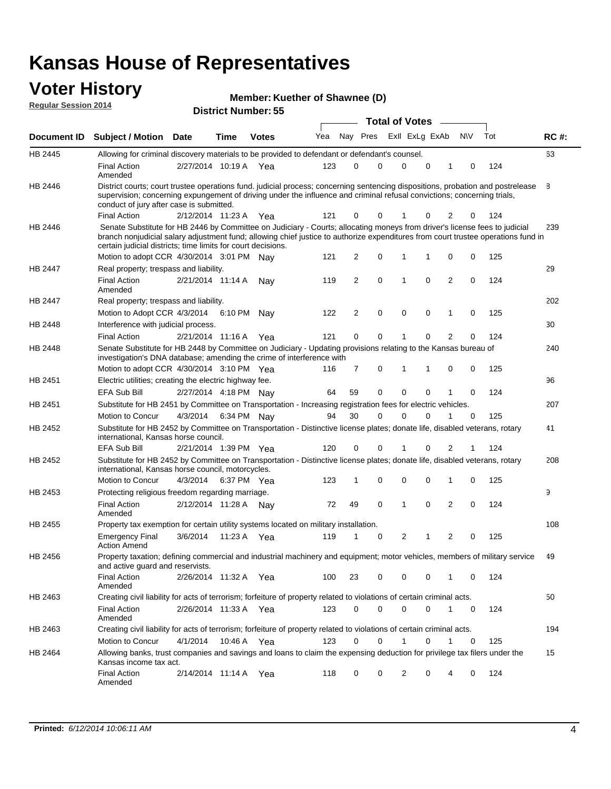#### **Voter History Regular Session 2014**

| Member: Kuether of Shawnee (D) |  |
|--------------------------------|--|
|--------------------------------|--|

|                |                                                                                                                                                                                                                                                                                                                                 |                       |      |             |     |          |             |              | <b>Total of Votes</b> |             |                |             |     |             |
|----------------|---------------------------------------------------------------------------------------------------------------------------------------------------------------------------------------------------------------------------------------------------------------------------------------------------------------------------------|-----------------------|------|-------------|-----|----------|-------------|--------------|-----------------------|-------------|----------------|-------------|-----|-------------|
|                | Document ID Subject / Motion Date                                                                                                                                                                                                                                                                                               |                       | Time | Votes       | Yea | Nay Pres |             |              | Exll ExLg ExAb        |             |                | <b>NV</b>   | Tot | <b>RC#:</b> |
| <b>HB 2445</b> | Allowing for criminal discovery materials to be provided to defendant or defendant's counsel.                                                                                                                                                                                                                                   |                       |      |             |     |          |             |              |                       |             |                |             |     | 63          |
|                | <b>Final Action</b><br>Amended                                                                                                                                                                                                                                                                                                  | 2/27/2014 10:19 A Yea |      |             | 123 | 0        | 0           |              | 0                     | 0           | 1              | 0           | 124 |             |
| HB 2446        | District courts; court trustee operations fund. judicial process; concerning sentencing dispositions, probation and postrelease<br>supervision; concerning expungement of driving under the influence and criminal refusal convictions; concerning trials,<br>conduct of jury after case is submitted.                          |                       |      |             |     |          |             |              |                       |             |                |             |     | 8           |
|                | <b>Final Action</b>                                                                                                                                                                                                                                                                                                             | 2/12/2014 11:23 A     |      | Yea         | 121 | 0        | 0           |              |                       | 0           | 2              | 0           | 124 |             |
| HB 2446        | Senate Substitute for HB 2446 by Committee on Judiciary - Courts; allocating moneys from driver's license fees to judicial<br>branch nonjudicial salary adjustment fund; allowing chief justice to authorize expenditures from court trustee operations fund in<br>certain judicial districts; time limits for court decisions. |                       |      |             |     |          |             |              |                       |             |                |             |     | 239         |
|                | Motion to adopt CCR 4/30/2014 3:01 PM Nay                                                                                                                                                                                                                                                                                       |                       |      |             | 121 | 2        | 0           | 1            |                       | 1           | 0              | 0           | 125 |             |
| <b>HB 2447</b> | Real property; trespass and liability.                                                                                                                                                                                                                                                                                          |                       |      |             |     |          |             |              |                       |             |                |             |     | 29          |
|                | <b>Final Action</b><br>Amended                                                                                                                                                                                                                                                                                                  | 2/21/2014 11:14 A     |      | Nay         | 119 | 2        | $\mathbf 0$ | $\mathbf 1$  |                       | $\mathbf 0$ | 2              | 0           | 124 |             |
| <b>HB 2447</b> | Real property; trespass and liability.                                                                                                                                                                                                                                                                                          |                       |      |             |     |          |             |              |                       |             |                |             |     | 202         |
|                | Motion to Adopt CCR 4/3/2014                                                                                                                                                                                                                                                                                                    |                       |      | 6:10 PM Nay | 122 | 2        | $\mathbf 0$ |              | $\mathbf 0$           | $\mathbf 0$ | 1              | 0           | 125 |             |
| <b>HB 2448</b> | Interference with judicial process.                                                                                                                                                                                                                                                                                             |                       |      |             |     |          |             |              |                       |             |                |             |     | 30          |
|                | <b>Final Action</b>                                                                                                                                                                                                                                                                                                             | 2/21/2014 11:16 A     |      | Yea         | 121 | 0        | 0           | $\mathbf{1}$ |                       | 0           | $\overline{2}$ | 0           | 124 |             |
| HB 2448        | Senate Substitute for HB 2448 by Committee on Judiciary - Updating provisions relating to the Kansas bureau of<br>investigation's DNA database; amending the crime of interference with                                                                                                                                         |                       |      |             |     |          |             |              |                       |             |                |             |     | 240         |
|                | Motion to adopt CCR 4/30/2014 3:10 PM Yea                                                                                                                                                                                                                                                                                       |                       |      |             | 116 | 7        | 0           | 1            |                       | 1           | 0              | 0           | 125 |             |
| HB 2451        | Electric utilities; creating the electric highway fee.                                                                                                                                                                                                                                                                          |                       |      |             |     |          |             |              |                       |             |                |             |     | 96          |
|                | <b>EFA Sub Bill</b>                                                                                                                                                                                                                                                                                                             | 2/27/2014 4:18 PM Nay |      |             | 64  | 59       | 0           |              | $\mathbf 0$           | 0           | 1              | 0           | 124 |             |
| HB 2451        | Substitute for HB 2451 by Committee on Transportation - Increasing registration fees for electric vehicles.                                                                                                                                                                                                                     |                       |      |             |     |          |             |              |                       |             |                |             |     | 207         |
|                | Motion to Concur                                                                                                                                                                                                                                                                                                                | 4/3/2014              |      | 6:34 PM Nay | 94  | 30       | 0           |              | $\Omega$              | 0           | 1              | 0           | 125 |             |
| HB 2452        | Substitute for HB 2452 by Committee on Transportation - Distinctive license plates; donate life, disabled veterans, rotary<br>international, Kansas horse council.                                                                                                                                                              |                       |      |             |     |          |             |              |                       |             |                |             |     | 41          |
|                | EFA Sub Bill                                                                                                                                                                                                                                                                                                                    | 2/21/2014 1:39 PM Yea |      |             | 120 | 0        | 0           |              |                       | 0           | 2              | 1           | 124 |             |
| HB 2452        | Substitute for HB 2452 by Committee on Transportation - Distinctive license plates; donate life, disabled veterans, rotary<br>international, Kansas horse council, motorcycles.                                                                                                                                                 |                       |      |             |     |          |             |              |                       |             |                |             |     | 208         |
|                | Motion to Concur                                                                                                                                                                                                                                                                                                                | 4/3/2014              |      | 6:37 PM Yea | 123 | 1        | 0           |              | $\mathbf 0$           | 0           | 1              | 0           | 125 |             |
| HB 2453        | Protecting religious freedom regarding marriage.                                                                                                                                                                                                                                                                                |                       |      |             |     |          |             |              |                       |             |                |             |     | 9           |
|                | <b>Final Action</b><br>Amended                                                                                                                                                                                                                                                                                                  | 2/12/2014 11:28 A Nay |      |             | 72  | 49       | $\mathbf 0$ | $\mathbf{1}$ |                       | $\Omega$    | 2              | 0           | 124 |             |
| HB 2455        | Property tax exemption for certain utility systems located on military installation.                                                                                                                                                                                                                                            |                       |      |             |     |          |             |              |                       |             |                |             |     | 108         |
|                | <b>Emergency Final</b><br><b>Action Amend</b>                                                                                                                                                                                                                                                                                   | 3/6/2014              |      | 11:23 A Yea | 119 | 1        | 0           |              | 2                     | 1           | 2              | 0           | 125 |             |
| HB 2456        | Property taxation; defining commercial and industrial machinery and equipment; motor vehicles, members of military service<br>and active guard and reservists.                                                                                                                                                                  |                       |      |             |     |          |             |              |                       |             |                |             |     | 49          |
|                | <b>Final Action</b><br>Amended                                                                                                                                                                                                                                                                                                  | 2/26/2014 11:32 A Yea |      |             | 100 | 23       | 0           |              | 0                     | 0           | 1              | 0           | 124 |             |
| HB 2463        | Creating civil liability for acts of terrorism; forfeiture of property related to violations of certain criminal acts.                                                                                                                                                                                                          |                       |      |             |     |          |             |              |                       |             |                |             |     | 50          |
|                | <b>Final Action</b><br>Amended                                                                                                                                                                                                                                                                                                  | 2/26/2014 11:33 A Yea |      |             | 123 | 0        | 0           |              | $\mathbf 0$           | $\mathbf 0$ | $\mathbf{1}$   | $\mathbf 0$ | 124 |             |
| HB 2463        | Creating civil liability for acts of terrorism; forfeiture of property related to violations of certain criminal acts.                                                                                                                                                                                                          |                       |      |             |     |          |             |              |                       |             |                |             |     | 194         |
|                | Motion to Concur                                                                                                                                                                                                                                                                                                                | 4/1/2014              |      | 10:46 A Yea | 123 | 0        | 0           |              | $\mathbf{1}$          | 0           | $\mathbf{1}$   | 0           | 125 |             |
| HB 2464        | Allowing banks, trust companies and savings and loans to claim the expensing deduction for privilege tax filers under the<br>Kansas income tax act.                                                                                                                                                                             |                       |      |             |     |          |             |              |                       |             |                |             |     | 15          |
|                | <b>Final Action</b><br>Amended                                                                                                                                                                                                                                                                                                  | 2/14/2014 11:14 A Yea |      |             | 118 | 0        | 0           |              | 2                     | 0           | 4              | 0           | 124 |             |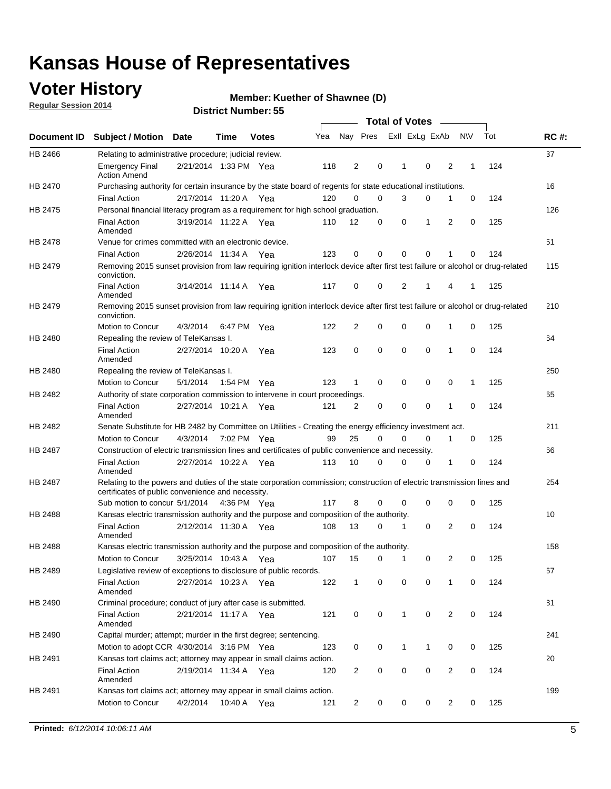## **Voter History**

**Regular Session 2014**

#### **Member: Kuether of Shawnee (D)**

|         |                                                                                                                                                                             |                       |             |              |     |                |             |              | <b>Total of Votes</b> |                |             |     |             |
|---------|-----------------------------------------------------------------------------------------------------------------------------------------------------------------------------|-----------------------|-------------|--------------|-----|----------------|-------------|--------------|-----------------------|----------------|-------------|-----|-------------|
|         | Document ID Subject / Motion Date                                                                                                                                           |                       | Time        | <b>Votes</b> | Yea | Nay Pres       |             |              | Exll ExLg ExAb        |                | <b>NV</b>   | Tot | <b>RC#:</b> |
| HB 2466 | Relating to administrative procedure; judicial review.                                                                                                                      |                       |             |              |     |                |             |              |                       |                |             |     | 37          |
|         | <b>Emergency Final</b><br><b>Action Amend</b>                                                                                                                               | 2/21/2014 1:33 PM Yea |             |              | 118 | $\overline{2}$ | 0           | 1            | 0                     | $\overline{2}$ | 1           | 124 |             |
| HB 2470 | Purchasing authority for certain insurance by the state board of regents for state educational institutions.                                                                |                       |             |              |     |                |             |              |                       |                |             |     | 16          |
|         | <b>Final Action</b>                                                                                                                                                         | 2/17/2014 11:20 A Yea |             |              | 120 | 0              | 0           | 3            | 0                     | 1              | 0           | 124 |             |
| HB 2475 | Personal financial literacy program as a requirement for high school graduation.                                                                                            |                       |             |              |     |                |             |              |                       |                |             |     | 126         |
|         | <b>Final Action</b><br>Amended                                                                                                                                              | 3/19/2014 11:22 A Yea |             |              | 110 | 12             | 0           | 0            | 1                     | 2              | 0           | 125 |             |
| HB 2478 | Venue for crimes committed with an electronic device.                                                                                                                       |                       |             |              |     |                |             |              |                       |                |             |     | 51          |
|         | <b>Final Action</b>                                                                                                                                                         | 2/26/2014 11:34 A     |             | Yea          | 123 | 0              | 0           | 0            | $\mathbf 0$           | 1              | 0           | 124 |             |
| HB 2479 | Removing 2015 sunset provision from law requiring ignition interlock device after first test failure or alcohol or drug-related<br>conviction.                              |                       |             |              |     |                |             |              |                       |                |             |     | 115         |
|         | <b>Final Action</b><br>Amended                                                                                                                                              | 3/14/2014 11:14 A     |             | Yea          | 117 | 0              | 0           | 2            | 1                     | 4              | 1           | 125 |             |
| HB 2479 | Removing 2015 sunset provision from law requiring ignition interlock device after first test failure or alcohol or drug-related<br>conviction.                              |                       |             |              |     |                |             |              |                       |                |             |     | 210         |
|         | Motion to Concur                                                                                                                                                            | 4/3/2014              | 6:47 PM Yea |              | 122 | 2              | 0           | 0            | $\mathbf 0$           | 1              | 0           | 125 |             |
| HB 2480 | Repealing the review of TeleKansas I.                                                                                                                                       |                       |             |              |     |                |             |              |                       |                |             |     | 64          |
|         | <b>Final Action</b><br>Amended                                                                                                                                              | 2/27/2014 10:20 A Yea |             |              | 123 | 0              | 0           | 0            | $\mathbf 0$           | 1              | 0           | 124 |             |
| HB 2480 | Repealing the review of TeleKansas I.                                                                                                                                       |                       |             |              |     |                |             |              |                       |                |             |     | 250         |
|         | Motion to Concur                                                                                                                                                            | 5/1/2014              | 1:54 PM Yea |              | 123 | $\mathbf{1}$   | $\mathbf 0$ | $\mathbf 0$  | $\mathbf 0$           | 0              | 1           | 125 |             |
| HB 2482 | Authority of state corporation commission to intervene in court proceedings.                                                                                                |                       |             |              |     |                |             |              |                       |                |             |     | 65          |
|         | <b>Final Action</b><br>Amended                                                                                                                                              | 2/27/2014 10:21 A     |             | Yea          | 121 | 2              | 0           | $\mathbf 0$  | $\mathbf 0$           | 1              | $\mathbf 0$ | 124 |             |
| HB 2482 | Senate Substitute for HB 2482 by Committee on Utilities - Creating the energy efficiency investment act.                                                                    |                       |             |              |     |                |             |              |                       |                |             |     | 211         |
|         | Motion to Concur                                                                                                                                                            | 4/3/2014 7:02 PM Yea  |             |              | 99  | 25             | 0           | $\mathbf 0$  | 0                     | 1              | 0           | 125 |             |
| HB 2487 | Construction of electric transmission lines and certificates of public convenience and necessity.                                                                           |                       |             |              |     |                |             |              |                       |                |             |     | 66          |
|         | <b>Final Action</b><br>Amended                                                                                                                                              | 2/27/2014 10:22 A Yea |             |              | 113 | 10             | 0           | 0            | 0                     | 1              | 0           | 124 |             |
| HB 2487 | Relating to the powers and duties of the state corporation commission; construction of electric transmission lines and<br>certificates of public convenience and necessity. |                       |             |              |     |                |             |              |                       |                |             |     | 254         |
|         | Sub motion to concur 5/1/2014 4:36 PM Yea                                                                                                                                   |                       |             |              | 117 | 8              | 0           | 0            | 0                     | 0              | 0           | 125 |             |
| HB 2488 | Kansas electric transmission authority and the purpose and composition of the authority.                                                                                    |                       |             |              |     |                |             |              |                       |                |             |     | 10          |
|         | <b>Final Action</b><br>Amended                                                                                                                                              | 2/12/2014 11:30 A Yea |             |              | 108 | 13             | 0           | 1            | $\mathbf 0$           | 2              | 0           | 124 |             |
| HB 2488 | Kansas electric transmission authority and the purpose and composition of the authority.                                                                                    |                       |             |              |     |                |             |              |                       |                |             |     | 158         |
|         | Motion to Concur                                                                                                                                                            | 3/25/2014 10:43 A     |             | Yea          | 107 | 15             | 0           | 1            | 0                     | 2              | 0           | 125 |             |
| HB 2489 | Legislative review of exceptions to disclosure of public records.                                                                                                           |                       |             |              |     |                |             |              |                       |                |             |     | 67          |
|         | <b>Final Action</b><br>Amended                                                                                                                                              | 2/27/2014 10:23 A Yea |             |              | 122 | $\mathbf{1}$   | 0           | 0            | 0                     | 1              | 0           | 124 |             |
| HB 2490 | Criminal procedure; conduct of jury after case is submitted.                                                                                                                |                       |             |              |     |                |             |              |                       |                |             |     | 31          |
|         | <b>Final Action</b><br>Amended                                                                                                                                              | 2/21/2014 11:17 A Yea |             |              | 121 | 0              | 0           | $\mathbf{1}$ | $\mathbf 0$           | $\overline{2}$ | 0           | 124 |             |
| HB 2490 | Capital murder; attempt; murder in the first degree; sentencing.                                                                                                            |                       |             |              |     |                |             |              |                       |                |             |     | 241         |
|         | Motion to adopt CCR 4/30/2014 3:16 PM Yea                                                                                                                                   |                       |             |              | 123 | 0              | 0           | $\mathbf{1}$ | $\mathbf{1}$          | 0              | 0           | 125 |             |
| HB 2491 | Kansas tort claims act; attorney may appear in small claims action.                                                                                                         |                       |             |              |     |                |             |              |                       |                |             |     | 20          |
|         | <b>Final Action</b><br>Amended                                                                                                                                              | 2/19/2014 11:34 A Yea |             |              | 120 | 2              | 0           | 0            | $\pmb{0}$             | $\overline{2}$ | 0           | 124 |             |
| HB 2491 | Kansas tort claims act; attorney may appear in small claims action.                                                                                                         |                       |             |              |     |                |             |              |                       |                |             |     | 199         |
|         | Motion to Concur                                                                                                                                                            | 4/2/2014              |             | 10:40 A Yea  | 121 | $\overline{2}$ | 0           | 0            | 0                     | $\overline{2}$ | 0           | 125 |             |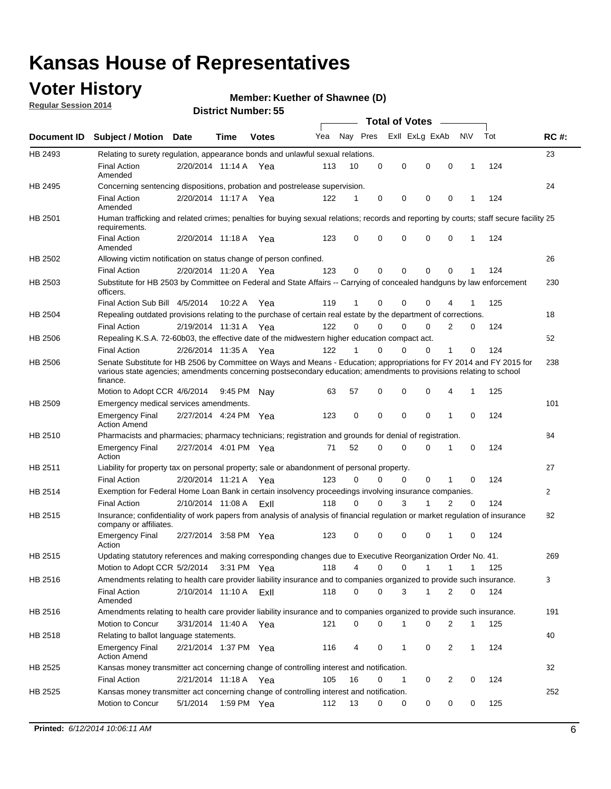## **Voter History**

**Regular Session 2014**

#### **Member: Kuether of Shawnee (D)**

|                    |                                                                                                                                                                                                                                                        |                       |             |              |     |          |          | <b>Total of Votes</b> |              |                |              |     |              |
|--------------------|--------------------------------------------------------------------------------------------------------------------------------------------------------------------------------------------------------------------------------------------------------|-----------------------|-------------|--------------|-----|----------|----------|-----------------------|--------------|----------------|--------------|-----|--------------|
| <b>Document ID</b> | <b>Subject / Motion Date</b>                                                                                                                                                                                                                           |                       | Time        | <b>Votes</b> | Yea | Nay Pres |          | Exll ExLg ExAb        |              |                | <b>NV</b>    | Tot | <b>RC#:</b>  |
| HB 2493            | Relating to surety regulation, appearance bonds and unlawful sexual relations.                                                                                                                                                                         |                       |             |              |     |          |          |                       |              |                |              |     | 23           |
|                    | <b>Final Action</b><br>Amended                                                                                                                                                                                                                         | 2/20/2014 11:14 A     |             | Yea          | 113 | 10       | 0        | 0                     | $\mathbf 0$  | 0              | $\mathbf 1$  | 124 |              |
| HB 2495            | Concerning sentencing dispositions, probation and postrelease supervision.                                                                                                                                                                             |                       |             |              |     |          |          |                       |              |                |              |     | 24           |
|                    | <b>Final Action</b><br>Amended                                                                                                                                                                                                                         | 2/20/2014 11:17 A Yea |             |              | 122 | 1        | 0        | 0                     | $\mathbf 0$  | $\mathbf 0$    | -1           | 124 |              |
| HB 2501            | Human trafficking and related crimes; penalties for buying sexual relations; records and reporting by courts; staff secure facility 25<br>requirements.                                                                                                |                       |             |              |     |          |          |                       |              |                |              |     |              |
|                    | <b>Final Action</b><br>Amended                                                                                                                                                                                                                         | 2/20/2014 11:18 A Yea |             |              | 123 | $\Omega$ | 0        | 0                     | $\Omega$     | $\mathbf 0$    | 1            | 124 |              |
| HB 2502            | Allowing victim notification on status change of person confined.                                                                                                                                                                                      |                       |             |              |     |          |          |                       |              |                |              |     | 26           |
|                    | <b>Final Action</b>                                                                                                                                                                                                                                    | 2/20/2014 11:20 A Yea |             |              | 123 | $\Omega$ | 0        | $\mathbf{0}$          | $\Omega$     | $\Omega$       |              | 124 |              |
| HB 2503            | Substitute for HB 2503 by Committee on Federal and State Affairs -- Carrying of concealed handguns by law enforcement<br>officers.                                                                                                                     |                       |             |              |     |          |          |                       |              |                |              |     | 230          |
|                    | Final Action Sub Bill 4/5/2014                                                                                                                                                                                                                         |                       | 10:22 A     | Yea          | 119 |          | 0        | 0                     | 0            | 4              |              | 125 |              |
| HB 2504            | Repealing outdated provisions relating to the purchase of certain real estate by the department of corrections.                                                                                                                                        |                       |             |              |     |          |          |                       |              |                |              |     | 18           |
|                    | <b>Final Action</b>                                                                                                                                                                                                                                    | 2/19/2014 11:31 A Yea |             |              | 122 | $\Omega$ | $\Omega$ | 0                     | $\mathbf{0}$ | $\overline{2}$ | 0            | 124 |              |
| HB 2506            | Repealing K.S.A. 72-60b03, the effective date of the midwestern higher education compact act.                                                                                                                                                          |                       |             |              |     |          |          |                       |              |                |              |     | 52           |
|                    | <b>Final Action</b>                                                                                                                                                                                                                                    | 2/26/2014 11:35 A Yea |             |              | 122 |          | $\Omega$ | 0                     | 0            | 1              | 0            | 124 |              |
| HB 2506            | Senate Substitute for HB 2506 by Committee on Ways and Means - Education; appropriations for FY 2014 and FY 2015 for<br>various state agencies; amendments concerning postsecondary education; amendments to provisions relating to school<br>finance. |                       |             |              |     |          |          |                       |              |                |              |     | 238          |
|                    | Motion to Adopt CCR 4/6/2014                                                                                                                                                                                                                           |                       | 9:45 PM Nav |              | 63  | 57       | 0        | 0                     | 0            | 4              | -1           | 125 |              |
| HB 2509            | Emergency medical services amendments.                                                                                                                                                                                                                 |                       |             |              |     |          |          |                       |              |                |              |     | 101          |
|                    | Emergency Final<br><b>Action Amend</b>                                                                                                                                                                                                                 | 2/27/2014 4:24 PM Yea |             |              | 123 | 0        | 0        | $\mathbf 0$           | 0            | $\mathbf{1}$   | 0            | 124 |              |
| HB 2510            | Pharmacists and pharmacies; pharmacy technicians; registration and grounds for denial of registration.                                                                                                                                                 |                       |             |              |     |          |          |                       |              |                |              |     | 84           |
|                    | <b>Emergency Final</b><br>Action                                                                                                                                                                                                                       | 2/27/2014 4:01 PM Yea |             |              | 71  | 52       | 0        | 0                     | 0            | 1              | 0            | 124 |              |
| HB 2511            | Liability for property tax on personal property; sale or abandonment of personal property.                                                                                                                                                             |                       |             |              |     |          |          |                       |              |                |              |     | 27           |
|                    | <b>Final Action</b>                                                                                                                                                                                                                                    | 2/20/2014 11:21 A     |             | Yea          | 123 | $\Omega$ | $\Omega$ | 0                     | 0            | 1              | 0            | 124 |              |
| HB 2514            | Exemption for Federal Home Loan Bank in certain insolvency proceedings involving insurance companies.                                                                                                                                                  |                       |             |              |     |          |          |                       |              |                |              |     | $\mathbf{2}$ |
|                    | <b>Final Action</b>                                                                                                                                                                                                                                    | 2/10/2014 11:08 A     |             | ExII         | 118 | $\Omega$ | $\Omega$ | 3                     | 1            | 2              | $\mathbf 0$  | 124 |              |
| HB 2515            | Insurance; confidentiality of work papers from analysis of analysis of financial regulation or market regulation of insurance<br>company or affiliates.                                                                                                |                       |             |              |     |          |          |                       |              |                |              |     | 82           |
|                    | <b>Emergency Final</b><br>Action                                                                                                                                                                                                                       | 2/27/2014 3:58 PM Yea |             |              | 123 | 0        | 0        | 0                     | 0            | 1              | 0            | 124 |              |
| HB 2515            | Updating statutory references and making corresponding changes due to Executive Reorganization Order No. 41.                                                                                                                                           |                       |             |              |     |          |          |                       |              |                |              |     | 269          |
|                    | Motion to Adopt CCR 5/2/2014 3:31 PM Yea                                                                                                                                                                                                               |                       |             |              | 118 | 4        | 0        | 0                     | $\mathbf{1}$ | $\mathbf{1}$   | $\mathbf{1}$ | 125 |              |
| HB 2516            | Amendments relating to health care provider liability insurance and to companies organized to provide such insurance.                                                                                                                                  |                       |             |              |     |          |          |                       |              |                |              |     | 3            |
|                    | <b>Final Action</b><br>Amended                                                                                                                                                                                                                         | 2/10/2014 11:10 A     |             | ExII         | 118 | 0        | 0        | 3                     | 1            | 2              | 0            | 124 |              |
| HB 2516            | Amendments relating to health care provider liability insurance and to companies organized to provide such insurance.                                                                                                                                  |                       |             |              |     |          |          |                       |              |                |              |     | 191          |
|                    | Motion to Concur                                                                                                                                                                                                                                       | 3/31/2014 11:40 A Yea |             |              | 121 | 0        | 0        | 1                     | 0            | 2              | $\mathbf{1}$ | 125 |              |
| HB 2518            | Relating to ballot language statements.                                                                                                                                                                                                                |                       |             |              |     |          |          |                       |              |                |              |     | 40           |
|                    | Emergency Final<br><b>Action Amend</b>                                                                                                                                                                                                                 | 2/21/2014 1:37 PM Yea |             |              | 116 | 4        | 0        | 1                     | 0            | 2              | 1            | 124 |              |
| HB 2525            | Kansas money transmitter act concerning change of controlling interest and notification.                                                                                                                                                               |                       |             |              |     |          |          |                       |              |                |              |     | 32           |
|                    | <b>Final Action</b>                                                                                                                                                                                                                                    | 2/21/2014 11:18 A Yea |             |              | 105 | 16       | 0        | 1                     | 0            | 2              | 0            | 124 |              |
| HB 2525            | Kansas money transmitter act concerning change of controlling interest and notification.                                                                                                                                                               |                       |             |              |     |          |          |                       |              |                |              |     | 252          |
|                    | Motion to Concur                                                                                                                                                                                                                                       | 5/1/2014              |             | 1:59 PM Yea  | 112 | 13       | 0        | 0                     | 0            | 0              | 0            | 125 |              |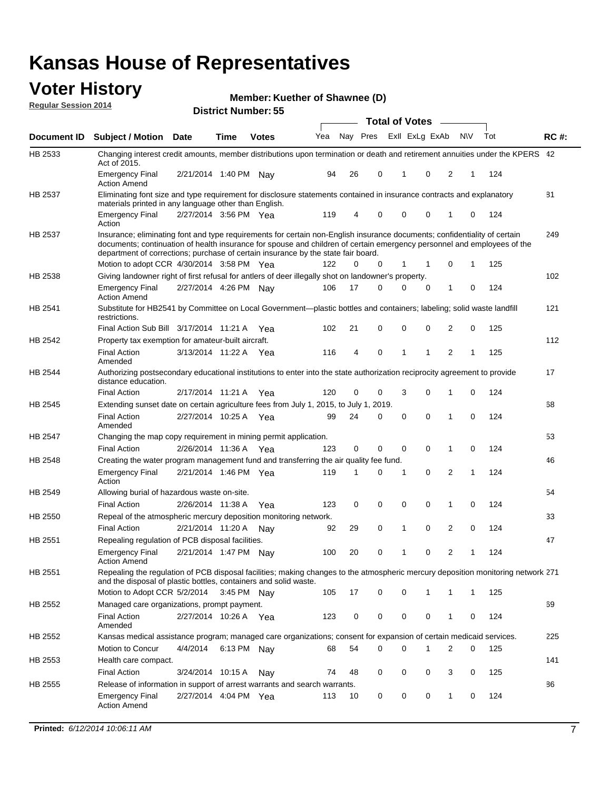#### **Voter History Regular Session 2014**

|  |  | Member: Kuether of Shawnee (D) |  |
|--|--|--------------------------------|--|
|--|--|--------------------------------|--|

|                |                                                                                                                                                                                                                                                                                                                                           |                       |             | טט וסוווטנו ואווווטכו |     |    |             | <b>Total of Votes</b> |                |                |              |     |             |
|----------------|-------------------------------------------------------------------------------------------------------------------------------------------------------------------------------------------------------------------------------------------------------------------------------------------------------------------------------------------|-----------------------|-------------|-----------------------|-----|----|-------------|-----------------------|----------------|----------------|--------------|-----|-------------|
| Document ID    | <b>Subject / Motion Date</b>                                                                                                                                                                                                                                                                                                              |                       | Time        | <b>Votes</b>          | Yea |    | Nay Pres    |                       | Exll ExLg ExAb | N\V            |              | Tot | <b>RC#:</b> |
| HB 2533        | Changing interest credit amounts, member distributions upon termination or death and retirement annuities under the KPERS 42<br>Act of 2015.                                                                                                                                                                                              |                       |             |                       |     |    |             |                       |                |                |              |     |             |
|                | <b>Emergency Final</b><br><b>Action Amend</b>                                                                                                                                                                                                                                                                                             | 2/21/2014 1:40 PM Nav |             |                       | 94  | 26 | 0           | $\mathbf{1}$          | 0              | 2              | 1            | 124 |             |
| HB 2537        | Eliminating font size and type requirement for disclosure statements contained in insurance contracts and explanatory<br>materials printed in any language other than English.                                                                                                                                                            |                       |             |                       |     |    |             |                       |                |                |              |     | 81          |
|                | <b>Emergency Final</b><br>Action                                                                                                                                                                                                                                                                                                          | 2/27/2014 3:56 PM Yea |             |                       | 119 | 4  | 0           | 0                     | 0              | 1              | 0            | 124 |             |
| HB 2537        | Insurance; eliminating font and type requirements for certain non-English insurance documents; confidentiality of certain<br>documents; continuation of health insurance for spouse and children of certain emergency personnel and employees of the<br>department of corrections; purchase of certain insurance by the state fair board. |                       |             |                       |     |    |             |                       |                |                |              |     | 249         |
|                | Motion to adopt CCR 4/30/2014 3:58 PM Yea                                                                                                                                                                                                                                                                                                 |                       |             |                       | 122 | 0  | 0           | 1                     | -1             | 0              | 1            | 125 |             |
| HB 2538        | Giving landowner right of first refusal for antlers of deer illegally shot on landowner's property.                                                                                                                                                                                                                                       |                       |             |                       |     |    |             |                       |                |                |              |     | 102         |
|                | <b>Emergency Final</b><br><b>Action Amend</b>                                                                                                                                                                                                                                                                                             | 2/27/2014 4:26 PM Nay |             |                       | 106 | 17 | 0           | 0                     | 0              | 1              | 0            | 124 |             |
| HB 2541        | Substitute for HB2541 by Committee on Local Government—plastic bottles and containers; labeling; solid waste landfill<br>restrictions.                                                                                                                                                                                                    |                       |             |                       |     |    |             |                       |                |                |              |     | 121         |
|                | Final Action Sub Bill 3/17/2014 11:21 A Yea                                                                                                                                                                                                                                                                                               |                       |             |                       | 102 | 21 | 0           | 0                     | 0              | 2              | 0            | 125 |             |
| HB 2542        | Property tax exemption for amateur-built aircraft.<br><b>Final Action</b>                                                                                                                                                                                                                                                                 | 3/13/2014 11:22 A Yea |             |                       | 116 | 4  | 0           | $\mathbf{1}$          | 1              | 2              | 1            | 125 | 112         |
| HB 2544        | Amended<br>Authorizing postsecondary educational institutions to enter into the state authorization reciprocity agreement to provide                                                                                                                                                                                                      |                       |             |                       |     |    |             |                       |                |                |              |     | 17          |
|                | distance education.                                                                                                                                                                                                                                                                                                                       |                       |             |                       |     |    |             |                       |                |                |              |     |             |
|                | <b>Final Action</b>                                                                                                                                                                                                                                                                                                                       | 2/17/2014 11:21 A Yea |             |                       | 120 | 0  | 0           | 3                     | 0              | 1              | 0            | 124 |             |
| HB 2545        | Extending sunset date on certain agriculture fees from July 1, 2015, to July 1, 2019.                                                                                                                                                                                                                                                     |                       |             |                       |     |    |             |                       |                |                |              |     | 68          |
|                | <b>Final Action</b><br>Amended                                                                                                                                                                                                                                                                                                            | 2/27/2014 10:25 A Yea |             |                       | 99  | 24 | 0           | $\mathbf 0$           | $\Omega$       | 1              | 0            | 124 |             |
| <b>HB 2547</b> | Changing the map copy requirement in mining permit application.                                                                                                                                                                                                                                                                           |                       |             |                       |     |    |             |                       |                |                |              |     | 53          |
|                | <b>Final Action</b>                                                                                                                                                                                                                                                                                                                       | 2/26/2014 11:36 A     |             | Yea                   | 123 | 0  | 0           | 0                     | 0              | 1              | 0            | 124 |             |
| HB 2548        | Creating the water program management fund and transferring the air quality fee fund.                                                                                                                                                                                                                                                     |                       |             |                       |     |    |             |                       |                |                |              |     | 46          |
|                | <b>Emergency Final</b><br>Action                                                                                                                                                                                                                                                                                                          | 2/21/2014 1:46 PM Yea |             |                       | 119 | 1  | 0           | 1                     | 0              | 2              | $\mathbf{1}$ | 124 |             |
| HB 2549        | Allowing burial of hazardous waste on-site.                                                                                                                                                                                                                                                                                               |                       |             |                       |     |    |             |                       |                |                |              |     | 54          |
|                | <b>Final Action</b>                                                                                                                                                                                                                                                                                                                       | 2/26/2014 11:38 A     |             | Yea                   | 123 | 0  | $\mathbf 0$ | 0                     | 0              | 1              | 0            | 124 |             |
| HB 2550        | Repeal of the atmospheric mercury deposition monitoring network.                                                                                                                                                                                                                                                                          |                       |             |                       |     |    |             |                       |                |                |              |     | 33          |
|                | <b>Final Action</b>                                                                                                                                                                                                                                                                                                                       | 2/21/2014 11:20 A     |             | Nay                   | 92  | 29 | 0           | 1                     | 0              | 2              | 0            | 124 |             |
| HB 2551        | Repealing regulation of PCB disposal facilities.                                                                                                                                                                                                                                                                                          |                       |             |                       |     |    |             |                       |                |                |              |     | 47          |
|                | <b>Emergency Final</b><br>Action Amend                                                                                                                                                                                                                                                                                                    | 2/21/2014 1:47 PM Nay |             |                       | 100 | 20 | 0           | 1                     | 0              | $\overline{2}$ | 1            | 124 |             |
| HB 2551        | Repealing the regulation of PCB disposal facilities; making changes to the atmospheric mercury deposition monitoring network 271<br>and the disposal of plastic bottles, containers and solid waste.                                                                                                                                      |                       |             |                       |     |    |             |                       |                |                |              |     |             |
|                | Motion to Adopt CCR 5/2/2014 3:45 PM Nav                                                                                                                                                                                                                                                                                                  |                       |             |                       | 105 | 17 | 0           | 0                     | 1              | 1              | 1            | 125 |             |
| HB 2552        | Managed care organizations, prompt payment.                                                                                                                                                                                                                                                                                               |                       |             |                       |     |    |             |                       |                |                |              |     | 69          |
|                | <b>Final Action</b><br>Amended                                                                                                                                                                                                                                                                                                            | 2/27/2014 10:26 A Yea |             |                       | 123 | 0  | 0           | 0                     | 0              | 1              | 0            | 124 |             |
| HB 2552        | Kansas medical assistance program; managed care organizations; consent for expansion of certain medicaid services.                                                                                                                                                                                                                        |                       |             |                       |     |    |             |                       |                |                |              |     | 225         |
|                | Motion to Concur                                                                                                                                                                                                                                                                                                                          | 4/4/2014              | 6:13 PM Nay |                       | 68  | 54 | 0           | 0                     | 1              | 2              | 0            | 125 |             |
| HB 2553        | Health care compact.                                                                                                                                                                                                                                                                                                                      |                       |             |                       |     |    |             |                       |                |                |              |     | 141         |
|                | <b>Final Action</b>                                                                                                                                                                                                                                                                                                                       | 3/24/2014 10:15 A     |             | Nay                   | 74  | 48 | 0           | 0                     | 0              | 3              | 0            | 125 |             |
| HB 2555        | Release of information in support of arrest warrants and search warrants.                                                                                                                                                                                                                                                                 |                       |             |                       |     |    |             |                       |                |                |              |     | 86          |
|                | <b>Emergency Final</b><br><b>Action Amend</b>                                                                                                                                                                                                                                                                                             | 2/27/2014 4:04 PM Yea |             |                       | 113 | 10 | 0           | 0                     | 0              | 1              | 0            | 124 |             |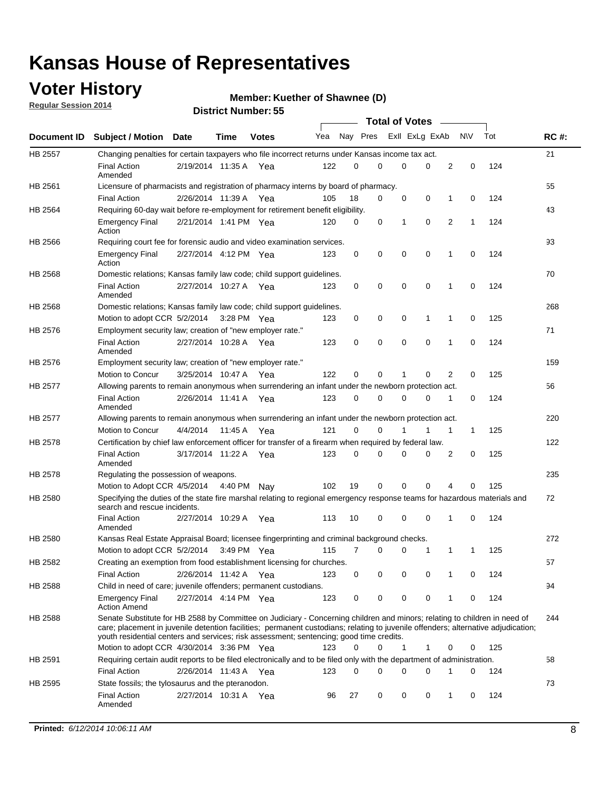## **Voter History**

**Regular Session 2014**

#### **Member: Kuether of Shawnee (D)**

|                |                                                                                                                                                                                                                                                                                                                                                           |                       |             |              |     |          |   | <b>Total of Votes</b> |             |              |              |     |             |
|----------------|-----------------------------------------------------------------------------------------------------------------------------------------------------------------------------------------------------------------------------------------------------------------------------------------------------------------------------------------------------------|-----------------------|-------------|--------------|-----|----------|---|-----------------------|-------------|--------------|--------------|-----|-------------|
|                | Document ID Subject / Motion Date                                                                                                                                                                                                                                                                                                                         |                       | Time        | <b>Votes</b> | Yea | Nay Pres |   | Exll ExLg ExAb        |             |              | <b>NV</b>    | Tot | <b>RC#:</b> |
| <b>HB 2557</b> | Changing penalties for certain taxpayers who file incorrect returns under Kansas income tax act.                                                                                                                                                                                                                                                          |                       |             |              |     |          |   |                       |             |              |              |     | 21          |
|                | <b>Final Action</b><br>Amended                                                                                                                                                                                                                                                                                                                            | 2/19/2014 11:35 A     |             | Yea          | 122 | 0        | 0 | 0                     | 0           | 2            | 0            | 124 |             |
| HB 2561        | Licensure of pharmacists and registration of pharmacy interns by board of pharmacy.                                                                                                                                                                                                                                                                       |                       |             |              |     |          |   |                       |             |              |              |     | 55          |
|                | <b>Final Action</b>                                                                                                                                                                                                                                                                                                                                       | 2/26/2014 11:39 A Yea |             |              | 105 | 18       | 0 | 0                     | 0           | 1            | 0            | 124 |             |
| HB 2564        | Requiring 60-day wait before re-employment for retirement benefit eligibility.                                                                                                                                                                                                                                                                            |                       |             |              |     |          |   |                       |             |              |              |     | 43          |
|                | <b>Emergency Final</b><br>Action                                                                                                                                                                                                                                                                                                                          | 2/21/2014 1:41 PM Yea |             |              | 120 | 0        | 0 | 1                     | 0           | 2            | 1            | 124 |             |
| HB 2566        | Requiring court fee for forensic audio and video examination services.                                                                                                                                                                                                                                                                                    |                       |             |              |     |          |   |                       |             |              |              |     | 93          |
|                | <b>Emergency Final</b><br>Action                                                                                                                                                                                                                                                                                                                          | 2/27/2014 4:12 PM Yea |             |              | 123 | 0        | 0 | 0                     | $\mathbf 0$ | 1            | $\mathbf 0$  | 124 |             |
| HB 2568        | Domestic relations; Kansas family law code; child support guidelines.                                                                                                                                                                                                                                                                                     |                       |             |              |     |          |   |                       |             |              |              |     | 70          |
|                | <b>Final Action</b><br>Amended                                                                                                                                                                                                                                                                                                                            | 2/27/2014 10:27 A     |             | Yea          | 123 | 0        | 0 | 0                     | 0           | 1            | 0            | 124 |             |
| HB 2568        | Domestic relations; Kansas family law code; child support guidelines.                                                                                                                                                                                                                                                                                     |                       |             |              |     |          |   |                       |             |              |              |     | 268         |
|                | Motion to adopt CCR 5/2/2014                                                                                                                                                                                                                                                                                                                              |                       | 3:28 PM Yea |              | 123 | 0        | 0 | 0                     | 1           | 1            | 0            | 125 |             |
| HB 2576        | Employment security law; creation of "new employer rate."                                                                                                                                                                                                                                                                                                 |                       |             |              |     |          |   |                       |             |              |              |     | 71          |
|                | <b>Final Action</b><br>Amended                                                                                                                                                                                                                                                                                                                            | 2/27/2014 10:28 A     |             | Yea          | 123 | 0        | 0 | 0                     | $\mathbf 0$ | 1            | 0            | 124 |             |
| HB 2576        | Employment security law; creation of "new employer rate."                                                                                                                                                                                                                                                                                                 |                       |             |              |     |          |   |                       |             |              |              |     | 159         |
|                | Motion to Concur                                                                                                                                                                                                                                                                                                                                          | 3/25/2014 10:47 A     |             | Yea          | 122 | 0        | 0 | 1                     | 0           | 2            | 0            | 125 |             |
| HB 2577        | Allowing parents to remain anonymous when surrendering an infant under the newborn protection act.                                                                                                                                                                                                                                                        |                       |             |              |     |          |   |                       |             |              |              |     | 56          |
|                | <b>Final Action</b><br>Amended                                                                                                                                                                                                                                                                                                                            | 2/26/2014 11:41 A Yea |             |              | 123 | 0        | 0 | 0                     | $\Omega$    | 1            | 0            | 124 |             |
| HB 2577        | Allowing parents to remain anonymous when surrendering an infant under the newborn protection act.                                                                                                                                                                                                                                                        |                       |             |              |     |          |   |                       |             |              |              |     | 220         |
|                | Motion to Concur                                                                                                                                                                                                                                                                                                                                          | 4/4/2014              | 11:45 A     | Yea          | 121 | $\Omega$ | 0 |                       | 1           | $\mathbf{1}$ | $\mathbf{1}$ | 125 |             |
| HB 2578        | Certification by chief law enforcement officer for transfer of a firearm when required by federal law.                                                                                                                                                                                                                                                    |                       |             |              |     |          |   |                       |             |              |              |     | 122         |
|                | <b>Final Action</b><br>Amended                                                                                                                                                                                                                                                                                                                            | 3/17/2014 11:22 A     |             | Yea          | 123 | $\Omega$ | 0 | 0                     | $\Omega$    | 2            | 0            | 125 |             |
| HB 2578        | Regulating the possession of weapons.                                                                                                                                                                                                                                                                                                                     |                       |             |              |     |          |   |                       |             |              |              |     | 235         |
|                | Motion to Adopt CCR 4/5/2014 4:40 PM Nay                                                                                                                                                                                                                                                                                                                  |                       |             |              | 102 | 19       | 0 | 0                     | 0           | 4            | $\Omega$     | 125 |             |
| HB 2580        | Specifying the duties of the state fire marshal relating to regional emergency response teams for hazardous materials and<br>search and rescue incidents.                                                                                                                                                                                                 |                       |             |              |     |          |   |                       |             |              |              |     | 72          |
|                | <b>Final Action</b><br>Amended                                                                                                                                                                                                                                                                                                                            | 2/27/2014 10:29 A     |             | Yea          | 113 | 10       | 0 | 0                     | 0           | 1            | 0            | 124 |             |
| HB 2580        | Kansas Real Estate Appraisal Board; licensee fingerprinting and criminal background checks.                                                                                                                                                                                                                                                               |                       |             |              |     |          |   |                       |             |              |              |     | 272         |
|                | Motion to adopt CCR 5/2/2014                                                                                                                                                                                                                                                                                                                              |                       |             | 3:49 PM Yea  | 115 | 7        | 0 | 0                     | 1           | 1            | -1           | 125 |             |
| HB 2582        | Creating an exemption from food establishment licensing for churches.                                                                                                                                                                                                                                                                                     |                       |             |              |     |          |   |                       |             |              |              |     | 57          |
|                | <b>Final Action</b>                                                                                                                                                                                                                                                                                                                                       | 2/26/2014 11:42 A Yea |             |              | 123 | 0        | 0 | 0                     | 0           | 1            | 0            | 124 |             |
| HB 2588        | Child in need of care; juvenile offenders; permanent custodians.                                                                                                                                                                                                                                                                                          |                       |             |              |     |          |   |                       |             |              |              |     | 94          |
|                | <b>Emergency Final</b><br><b>Action Amend</b>                                                                                                                                                                                                                                                                                                             | 2/27/2014 4:14 PM Yea |             |              | 123 | 0        | 0 | 0                     | 0           | 1            | 0            | 124 |             |
| HB 2588        | Senate Substitute for HB 2588 by Committee on Judiciary - Concerning children and minors; relating to children in need of<br>care; placement in juvenile detention facilities; permanent custodians; relating to juvenile offenders; alternative adjudication;<br>youth residential centers and services; risk assessment; sentencing; good time credits. |                       |             |              |     |          |   |                       |             |              |              |     | 244         |
|                | Motion to adopt CCR 4/30/2014 3:36 PM Yea                                                                                                                                                                                                                                                                                                                 |                       |             |              | 123 | 0        | 0 | 1                     | 1           | 0            | 0            | 125 |             |
| HB 2591        | Requiring certain audit reports to be filed electronically and to be filed only with the department of administration.                                                                                                                                                                                                                                    |                       |             |              |     |          |   |                       |             |              |              |     | 58          |
|                | <b>Final Action</b>                                                                                                                                                                                                                                                                                                                                       | 2/26/2014 11:43 A Yea |             |              | 123 | 0        | 0 | 0                     | 0           | 1            | 0            | 124 |             |
| HB 2595        | State fossils; the tylosaurus and the pteranodon.                                                                                                                                                                                                                                                                                                         |                       |             |              |     |          |   |                       |             |              |              |     | 73          |
|                | <b>Final Action</b><br>Amended                                                                                                                                                                                                                                                                                                                            | 2/27/2014 10:31 A Yea |             |              | 96  | 27       | 0 | 0                     | 0           | 1            | 0            | 124 |             |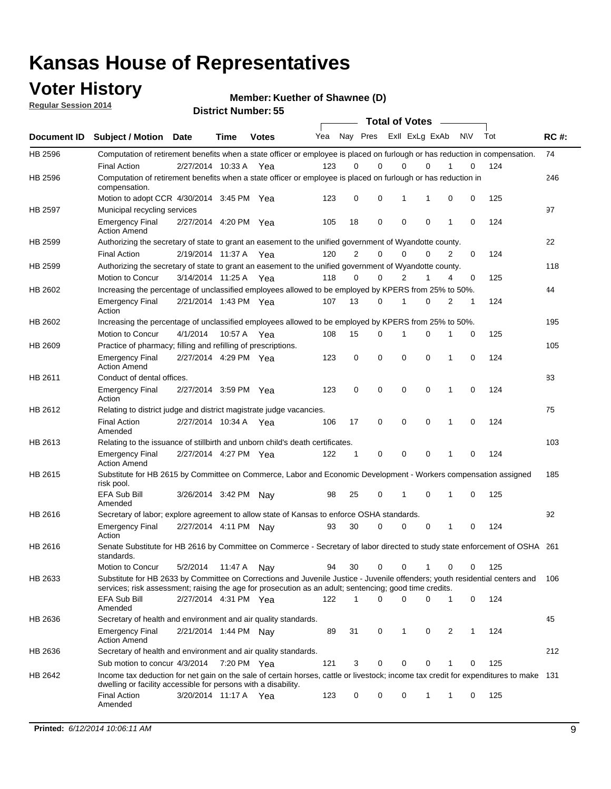### **Voter History**

**Regular Session 2014**

**Member: Kuether of Shawnee (D)** 

| <b>Total of Votes</b><br>Nay Pres<br>Exll ExLg ExAb<br><b>NV</b><br>Tot<br>Yea<br>Document ID<br><b>Subject / Motion Date</b><br>Time<br><b>Votes</b><br>HB 2596<br>Computation of retirement benefits when a state officer or employee is placed on furlough or has reduction in compensation.<br>0<br><b>Final Action</b><br>2/27/2014 10:33 A<br>0<br>0<br>$\Omega$<br>0<br>124<br>123<br>Yea<br>Computation of retirement benefits when a state officer or employee is placed on furlough or has reduction in<br>HB 2596<br>compensation.<br>123<br>0<br>0<br>0<br>0<br>125<br>Motion to adopt CCR 4/30/2014 3:45 PM Yea<br>1<br>1<br><b>HB 2597</b><br>Municipal recycling services<br>$\mathbf 0$<br>$\mathbf 0$<br>2/27/2014 4:20 PM Yea<br>105<br>18<br>$\mathbf 0$<br>0<br>124<br><b>Emergency Final</b><br>1<br><b>Action Amend</b><br>HB 2599<br>Authorizing the secretary of state to grant an easement to the unified government of Wyandotte county.<br>$\overline{2}$<br>124<br>120<br>0<br>$\mathbf 0$<br>$\Omega$<br>2<br>0<br><b>Final Action</b><br>2/19/2014 11:37 A<br>Yea<br>Authorizing the secretary of state to grant an easement to the unified government of Wyandotte county.<br>HB 2599<br>118<br>$\Omega$<br>0<br>2<br>125<br>Motion to Concur<br>3/14/2014 11:25 A<br>1<br>4<br>0<br>Yea<br>Increasing the percentage of unclassified employees allowed to be employed by KPERS from 25% to 50%.<br>HB 2602<br>107<br>13<br>0<br>$\mathbf 0$<br>2<br>124<br><b>Emergency Final</b><br>2/21/2014 1:43 PM Yea<br>1<br>1<br>Action<br>HB 2602<br>Increasing the percentage of unclassified employees allowed to be employed by KPERS from 25% to 50%.<br>Motion to Concur<br>4/1/2014<br>10:57 A Yea<br>108<br>15<br>0<br>1<br>0<br>1<br>0<br>125<br>HB 2609<br>Practice of pharmacy; filling and refilling of prescriptions.<br>$\mathbf 0$<br>$\mathbf 0$<br>0<br>$\mathbf 0$<br>0<br>124<br><b>Emergency Final</b><br>2/27/2014 4:29 PM Yea<br>123<br>1<br><b>Action Amend</b><br>HB 2611<br>Conduct of dental offices.<br>$\mathbf 0$<br>$\mathbf 0$<br>$\mathbf 0$<br>$\mathbf 0$<br>124<br>2/27/2014 3:59 PM Yea<br>123<br>1<br>0<br><b>Emergency Final</b><br>Action<br>HB 2612<br>Relating to district judge and district magistrate judge vacancies. | <b>RC#:</b><br>74 |
|-------------------------------------------------------------------------------------------------------------------------------------------------------------------------------------------------------------------------------------------------------------------------------------------------------------------------------------------------------------------------------------------------------------------------------------------------------------------------------------------------------------------------------------------------------------------------------------------------------------------------------------------------------------------------------------------------------------------------------------------------------------------------------------------------------------------------------------------------------------------------------------------------------------------------------------------------------------------------------------------------------------------------------------------------------------------------------------------------------------------------------------------------------------------------------------------------------------------------------------------------------------------------------------------------------------------------------------------------------------------------------------------------------------------------------------------------------------------------------------------------------------------------------------------------------------------------------------------------------------------------------------------------------------------------------------------------------------------------------------------------------------------------------------------------------------------------------------------------------------------------------------------------------------------------------------------------------------------------------------------------------------------------------------------------------------------------------------------------------------------------------------------------------------------------------------------------------------------------------------------------------------------------------------------|-------------------|
|                                                                                                                                                                                                                                                                                                                                                                                                                                                                                                                                                                                                                                                                                                                                                                                                                                                                                                                                                                                                                                                                                                                                                                                                                                                                                                                                                                                                                                                                                                                                                                                                                                                                                                                                                                                                                                                                                                                                                                                                                                                                                                                                                                                                                                                                                           |                   |
|                                                                                                                                                                                                                                                                                                                                                                                                                                                                                                                                                                                                                                                                                                                                                                                                                                                                                                                                                                                                                                                                                                                                                                                                                                                                                                                                                                                                                                                                                                                                                                                                                                                                                                                                                                                                                                                                                                                                                                                                                                                                                                                                                                                                                                                                                           |                   |
|                                                                                                                                                                                                                                                                                                                                                                                                                                                                                                                                                                                                                                                                                                                                                                                                                                                                                                                                                                                                                                                                                                                                                                                                                                                                                                                                                                                                                                                                                                                                                                                                                                                                                                                                                                                                                                                                                                                                                                                                                                                                                                                                                                                                                                                                                           |                   |
|                                                                                                                                                                                                                                                                                                                                                                                                                                                                                                                                                                                                                                                                                                                                                                                                                                                                                                                                                                                                                                                                                                                                                                                                                                                                                                                                                                                                                                                                                                                                                                                                                                                                                                                                                                                                                                                                                                                                                                                                                                                                                                                                                                                                                                                                                           | 246               |
|                                                                                                                                                                                                                                                                                                                                                                                                                                                                                                                                                                                                                                                                                                                                                                                                                                                                                                                                                                                                                                                                                                                                                                                                                                                                                                                                                                                                                                                                                                                                                                                                                                                                                                                                                                                                                                                                                                                                                                                                                                                                                                                                                                                                                                                                                           |                   |
|                                                                                                                                                                                                                                                                                                                                                                                                                                                                                                                                                                                                                                                                                                                                                                                                                                                                                                                                                                                                                                                                                                                                                                                                                                                                                                                                                                                                                                                                                                                                                                                                                                                                                                                                                                                                                                                                                                                                                                                                                                                                                                                                                                                                                                                                                           | 97                |
|                                                                                                                                                                                                                                                                                                                                                                                                                                                                                                                                                                                                                                                                                                                                                                                                                                                                                                                                                                                                                                                                                                                                                                                                                                                                                                                                                                                                                                                                                                                                                                                                                                                                                                                                                                                                                                                                                                                                                                                                                                                                                                                                                                                                                                                                                           |                   |
|                                                                                                                                                                                                                                                                                                                                                                                                                                                                                                                                                                                                                                                                                                                                                                                                                                                                                                                                                                                                                                                                                                                                                                                                                                                                                                                                                                                                                                                                                                                                                                                                                                                                                                                                                                                                                                                                                                                                                                                                                                                                                                                                                                                                                                                                                           | 22                |
|                                                                                                                                                                                                                                                                                                                                                                                                                                                                                                                                                                                                                                                                                                                                                                                                                                                                                                                                                                                                                                                                                                                                                                                                                                                                                                                                                                                                                                                                                                                                                                                                                                                                                                                                                                                                                                                                                                                                                                                                                                                                                                                                                                                                                                                                                           |                   |
|                                                                                                                                                                                                                                                                                                                                                                                                                                                                                                                                                                                                                                                                                                                                                                                                                                                                                                                                                                                                                                                                                                                                                                                                                                                                                                                                                                                                                                                                                                                                                                                                                                                                                                                                                                                                                                                                                                                                                                                                                                                                                                                                                                                                                                                                                           | 118               |
|                                                                                                                                                                                                                                                                                                                                                                                                                                                                                                                                                                                                                                                                                                                                                                                                                                                                                                                                                                                                                                                                                                                                                                                                                                                                                                                                                                                                                                                                                                                                                                                                                                                                                                                                                                                                                                                                                                                                                                                                                                                                                                                                                                                                                                                                                           |                   |
|                                                                                                                                                                                                                                                                                                                                                                                                                                                                                                                                                                                                                                                                                                                                                                                                                                                                                                                                                                                                                                                                                                                                                                                                                                                                                                                                                                                                                                                                                                                                                                                                                                                                                                                                                                                                                                                                                                                                                                                                                                                                                                                                                                                                                                                                                           | 44                |
|                                                                                                                                                                                                                                                                                                                                                                                                                                                                                                                                                                                                                                                                                                                                                                                                                                                                                                                                                                                                                                                                                                                                                                                                                                                                                                                                                                                                                                                                                                                                                                                                                                                                                                                                                                                                                                                                                                                                                                                                                                                                                                                                                                                                                                                                                           |                   |
|                                                                                                                                                                                                                                                                                                                                                                                                                                                                                                                                                                                                                                                                                                                                                                                                                                                                                                                                                                                                                                                                                                                                                                                                                                                                                                                                                                                                                                                                                                                                                                                                                                                                                                                                                                                                                                                                                                                                                                                                                                                                                                                                                                                                                                                                                           | 195               |
|                                                                                                                                                                                                                                                                                                                                                                                                                                                                                                                                                                                                                                                                                                                                                                                                                                                                                                                                                                                                                                                                                                                                                                                                                                                                                                                                                                                                                                                                                                                                                                                                                                                                                                                                                                                                                                                                                                                                                                                                                                                                                                                                                                                                                                                                                           |                   |
|                                                                                                                                                                                                                                                                                                                                                                                                                                                                                                                                                                                                                                                                                                                                                                                                                                                                                                                                                                                                                                                                                                                                                                                                                                                                                                                                                                                                                                                                                                                                                                                                                                                                                                                                                                                                                                                                                                                                                                                                                                                                                                                                                                                                                                                                                           | 105               |
|                                                                                                                                                                                                                                                                                                                                                                                                                                                                                                                                                                                                                                                                                                                                                                                                                                                                                                                                                                                                                                                                                                                                                                                                                                                                                                                                                                                                                                                                                                                                                                                                                                                                                                                                                                                                                                                                                                                                                                                                                                                                                                                                                                                                                                                                                           |                   |
|                                                                                                                                                                                                                                                                                                                                                                                                                                                                                                                                                                                                                                                                                                                                                                                                                                                                                                                                                                                                                                                                                                                                                                                                                                                                                                                                                                                                                                                                                                                                                                                                                                                                                                                                                                                                                                                                                                                                                                                                                                                                                                                                                                                                                                                                                           | 83                |
|                                                                                                                                                                                                                                                                                                                                                                                                                                                                                                                                                                                                                                                                                                                                                                                                                                                                                                                                                                                                                                                                                                                                                                                                                                                                                                                                                                                                                                                                                                                                                                                                                                                                                                                                                                                                                                                                                                                                                                                                                                                                                                                                                                                                                                                                                           |                   |
|                                                                                                                                                                                                                                                                                                                                                                                                                                                                                                                                                                                                                                                                                                                                                                                                                                                                                                                                                                                                                                                                                                                                                                                                                                                                                                                                                                                                                                                                                                                                                                                                                                                                                                                                                                                                                                                                                                                                                                                                                                                                                                                                                                                                                                                                                           | 75                |
| $\mathbf 0$<br><b>Final Action</b><br>0<br>0<br>1<br>124<br>2/27/2014 10:34 A<br>106<br>17<br>0<br>Yea<br>Amended                                                                                                                                                                                                                                                                                                                                                                                                                                                                                                                                                                                                                                                                                                                                                                                                                                                                                                                                                                                                                                                                                                                                                                                                                                                                                                                                                                                                                                                                                                                                                                                                                                                                                                                                                                                                                                                                                                                                                                                                                                                                                                                                                                         |                   |
| HB 2613<br>Relating to the issuance of stillbirth and unborn child's death certificates.                                                                                                                                                                                                                                                                                                                                                                                                                                                                                                                                                                                                                                                                                                                                                                                                                                                                                                                                                                                                                                                                                                                                                                                                                                                                                                                                                                                                                                                                                                                                                                                                                                                                                                                                                                                                                                                                                                                                                                                                                                                                                                                                                                                                  | 103               |
| $\mathbf 0$<br>122<br>0<br>$\Omega$<br>0<br>124<br><b>Emergency Final</b><br>2/27/2014 4:27 PM Yea<br>1<br>1<br><b>Action Amend</b>                                                                                                                                                                                                                                                                                                                                                                                                                                                                                                                                                                                                                                                                                                                                                                                                                                                                                                                                                                                                                                                                                                                                                                                                                                                                                                                                                                                                                                                                                                                                                                                                                                                                                                                                                                                                                                                                                                                                                                                                                                                                                                                                                       |                   |
| HB 2615<br>Substitute for HB 2615 by Committee on Commerce, Labor and Economic Development - Workers compensation assigned<br>risk pool.                                                                                                                                                                                                                                                                                                                                                                                                                                                                                                                                                                                                                                                                                                                                                                                                                                                                                                                                                                                                                                                                                                                                                                                                                                                                                                                                                                                                                                                                                                                                                                                                                                                                                                                                                                                                                                                                                                                                                                                                                                                                                                                                                  | 185               |
| EFA Sub Bill<br>25<br>0<br>0<br>0<br>125<br>3/26/2014 3:42 PM Nay<br>98<br>1<br>1<br>Amended                                                                                                                                                                                                                                                                                                                                                                                                                                                                                                                                                                                                                                                                                                                                                                                                                                                                                                                                                                                                                                                                                                                                                                                                                                                                                                                                                                                                                                                                                                                                                                                                                                                                                                                                                                                                                                                                                                                                                                                                                                                                                                                                                                                              |                   |
| HB 2616<br>Secretary of labor; explore agreement to allow state of Kansas to enforce OSHA standards.                                                                                                                                                                                                                                                                                                                                                                                                                                                                                                                                                                                                                                                                                                                                                                                                                                                                                                                                                                                                                                                                                                                                                                                                                                                                                                                                                                                                                                                                                                                                                                                                                                                                                                                                                                                                                                                                                                                                                                                                                                                                                                                                                                                      | 92                |
| 30<br>0<br>0<br>124<br><b>Emergency Final</b><br>2/27/2014 4:11 PM Nay<br>93<br>0<br>1<br>0<br>Action                                                                                                                                                                                                                                                                                                                                                                                                                                                                                                                                                                                                                                                                                                                                                                                                                                                                                                                                                                                                                                                                                                                                                                                                                                                                                                                                                                                                                                                                                                                                                                                                                                                                                                                                                                                                                                                                                                                                                                                                                                                                                                                                                                                     |                   |
| HB 2616<br>Senate Substitute for HB 2616 by Committee on Commerce - Secretary of labor directed to study state enforcement of OSHA 261<br>standards.                                                                                                                                                                                                                                                                                                                                                                                                                                                                                                                                                                                                                                                                                                                                                                                                                                                                                                                                                                                                                                                                                                                                                                                                                                                                                                                                                                                                                                                                                                                                                                                                                                                                                                                                                                                                                                                                                                                                                                                                                                                                                                                                      |                   |
| 30<br>$\mathbf 0$<br>Motion to Concur<br>5/2/2014<br>11:47 A Nay<br>94<br>0<br>0<br>0<br>125                                                                                                                                                                                                                                                                                                                                                                                                                                                                                                                                                                                                                                                                                                                                                                                                                                                                                                                                                                                                                                                                                                                                                                                                                                                                                                                                                                                                                                                                                                                                                                                                                                                                                                                                                                                                                                                                                                                                                                                                                                                                                                                                                                                              |                   |
| Substitute for HB 2633 by Committee on Corrections and Juvenile Justice - Juvenile offenders; youth residential centers and<br>HB 2633<br>services; risk assessment; raising the age for prosecution as an adult; sentencing; good time credits.                                                                                                                                                                                                                                                                                                                                                                                                                                                                                                                                                                                                                                                                                                                                                                                                                                                                                                                                                                                                                                                                                                                                                                                                                                                                                                                                                                                                                                                                                                                                                                                                                                                                                                                                                                                                                                                                                                                                                                                                                                          | 106               |
| EFA Sub Bill<br>122<br>$\mathbf{1}$<br>$\Omega$<br>$\mathbf 0$<br>0<br>1<br>0<br>124<br>2/27/2014 4:31 PM Yea<br>Amended                                                                                                                                                                                                                                                                                                                                                                                                                                                                                                                                                                                                                                                                                                                                                                                                                                                                                                                                                                                                                                                                                                                                                                                                                                                                                                                                                                                                                                                                                                                                                                                                                                                                                                                                                                                                                                                                                                                                                                                                                                                                                                                                                                  |                   |
| HB 2636<br>Secretary of health and environment and air quality standards.                                                                                                                                                                                                                                                                                                                                                                                                                                                                                                                                                                                                                                                                                                                                                                                                                                                                                                                                                                                                                                                                                                                                                                                                                                                                                                                                                                                                                                                                                                                                                                                                                                                                                                                                                                                                                                                                                                                                                                                                                                                                                                                                                                                                                 | 45                |
| <b>Emergency Final</b><br>2/21/2014 1:44 PM Nav<br>89<br>31<br>0<br>1<br>0<br>2<br>124<br>1<br><b>Action Amend</b>                                                                                                                                                                                                                                                                                                                                                                                                                                                                                                                                                                                                                                                                                                                                                                                                                                                                                                                                                                                                                                                                                                                                                                                                                                                                                                                                                                                                                                                                                                                                                                                                                                                                                                                                                                                                                                                                                                                                                                                                                                                                                                                                                                        |                   |
| HB 2636<br>Secretary of health and environment and air quality standards.                                                                                                                                                                                                                                                                                                                                                                                                                                                                                                                                                                                                                                                                                                                                                                                                                                                                                                                                                                                                                                                                                                                                                                                                                                                                                                                                                                                                                                                                                                                                                                                                                                                                                                                                                                                                                                                                                                                                                                                                                                                                                                                                                                                                                 | 212               |
| Sub motion to concur 4/3/2014 7:20 PM Yea<br>121<br>125<br>3<br>0<br>0<br>0<br>0                                                                                                                                                                                                                                                                                                                                                                                                                                                                                                                                                                                                                                                                                                                                                                                                                                                                                                                                                                                                                                                                                                                                                                                                                                                                                                                                                                                                                                                                                                                                                                                                                                                                                                                                                                                                                                                                                                                                                                                                                                                                                                                                                                                                          |                   |
| HB 2642<br>Income tax deduction for net gain on the sale of certain horses, cattle or livestock; income tax credit for expenditures to make 131<br>dwelling or facility accessible for persons with a disability.                                                                                                                                                                                                                                                                                                                                                                                                                                                                                                                                                                                                                                                                                                                                                                                                                                                                                                                                                                                                                                                                                                                                                                                                                                                                                                                                                                                                                                                                                                                                                                                                                                                                                                                                                                                                                                                                                                                                                                                                                                                                         |                   |
| <b>Final Action</b><br>0<br>3/20/2014 11:17 A Yea<br>123<br>0<br>0<br>125<br>1<br>1<br>0<br>Amended                                                                                                                                                                                                                                                                                                                                                                                                                                                                                                                                                                                                                                                                                                                                                                                                                                                                                                                                                                                                                                                                                                                                                                                                                                                                                                                                                                                                                                                                                                                                                                                                                                                                                                                                                                                                                                                                                                                                                                                                                                                                                                                                                                                       |                   |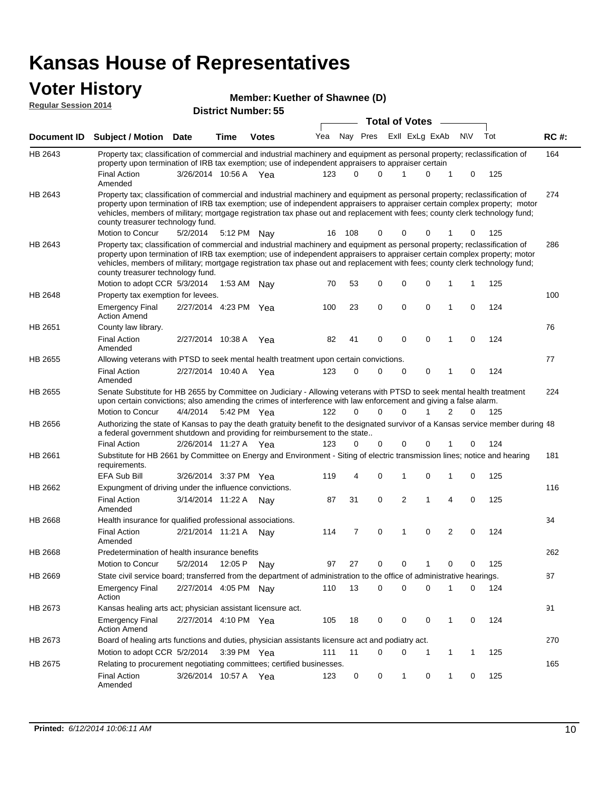### **Voter History**

| <b>VULGE LIBLUI Y</b><br><b>Regular Session 2014</b> |                                                                                                                                                                                                                                   | Member: Kuether of Shawnee (D)<br><b>District Number: 55</b> |      |              |     |  |          |  |                       |                |     |  |     |             |
|------------------------------------------------------|-----------------------------------------------------------------------------------------------------------------------------------------------------------------------------------------------------------------------------------|--------------------------------------------------------------|------|--------------|-----|--|----------|--|-----------------------|----------------|-----|--|-----|-------------|
|                                                      |                                                                                                                                                                                                                                   |                                                              |      |              |     |  |          |  | <b>Total of Votes</b> |                |     |  |     |             |
|                                                      | Document ID Subject / Motion Date                                                                                                                                                                                                 |                                                              | Time | <b>Votes</b> | Yea |  | Nav Pres |  |                       | Exll ExLg ExAb | N\V |  | Tot | <b>RC#:</b> |
| HB 2643                                              | Property tax; classification of commercial and industrial machinery and equipment as personal property; reclassification of<br>property upon termination of IRB tax exemption; use of independent appraisers to appraiser certain |                                                              |      |              |     |  |          |  |                       |                |     |  |     | 164         |
|                                                      | <b>Final Action</b><br>Amended                                                                                                                                                                                                    | 3/26/2014 10:56 A Yea                                        |      |              | 123 |  |          |  |                       |                |     |  | 125 |             |
|                                                      |                                                                                                                                                                                                                                   |                                                              |      |              |     |  |          |  |                       |                |     |  |     |             |

274 5/2/2014 HB 2643 Motion to Concur 5/2/2014 5:12 PM Nay 16 108 0 0 0 1 0 125 Property tax; classification of commercial and industrial machinery and equipment as personal property; reclassification of property upon termination of IRB tax exemption; use of independent appraisers to appraiser certain complex property; motor vehicles, members of military; mortgage registration tax phase out and replacement with fees; county clerk technology fund; county treasurer technology fund. 286 Motion to adopt CCR 5/3/2014 1:53 AM Nay 70 53 0 0 0 1 1 125 HB 2643 Property tax; classification of commercial and industrial machinery and equipment as personal property; reclassification of property upon termination of IRB tax exemption; use of independent appraisers to appraiser certain complex property; motor vehicles, members of military; mortgage registration tax phase out and replacement with fees; county clerk technology fund; county treasurer technology fund. 1:53 AM Nav 70 53 0 0 0 1 1 100 Emergency Final 2/27/2014 4:23 PM Yea 100 23 0 0 0 1 0 124 HB 2648 Action Amend Property tax exemption for levees. 76 2/27/2014 Final Action Yea 124 10:38 A 82 41 0 0 10 0 HB 2651 Amended County law library. 77 2/27/2014 Final Action Yea 124 10:40 A 123 0 0 0 10 0 HB 2655 Amended Allowing veterans with PTSD to seek mental health treatment upon certain convictions. 224 4/4/2014 HB 2655 Motion to Concur Yea 125 5:42 PM 122 0 1 0 20 0 Senate Substitute for HB 2655 by Committee on Judiciary - Allowing veterans with PTSD to seek mental health treatment upon certain convictions; also amending the crimes of interference with law enforcement and giving a false alarm. 48 Authorizing the state of Kansas to pay the death gratuity benefit to the designated survivor of a Kansas service member during 2/26/2014 Final Action Yea 124 11:27 A 123 0 0 0 10 0 HB 2656 a federal government shutdown and providing for reimbursement to the state.. 181 3/26/2014 EFA Sub Bill Yea 125 3:37 PM 119 4 0 0 10 1 HB 2661 Substitute for HB 2661 by Committee on Energy and Environment - Siting of electric transmission lines; notice and hearing requirements. 116 Final Action 3/14/2014 11:22 A Nay 87 31 0 2 1 4 0 125 HB 2662 Amended Expungment of driving under the influence convictions. 34 2/21/2014 Final Action Nay 124 11:21 A 114 7 0 0 20 1 HB 2668 Amended Health insurance for qualified professional associations. 262 Motion to Concur 5/2/2014 12:05 P Nay 097 27 0 0 1 0 0 125 HB 2668 Predetermination of health insurance benefits 87 2/27/2014 Emergency Final Nay 124 4:05 PM 110 13 0 0 10 0 HB 2669 Action State civil service board; transferred from the department of administration to the office of administrative hearings. 91 2/27/2014 HB 2673 Emergency Final Yea 124 Kansas healing arts act; physician assistant licensure act. 4:10 PM Yea 105 18 0 0 0 1 0

|         | Emergency Final<br><b>Action Amend</b>                                                           | 2/27/2014 4:10 PM Yea |     | 105 18 | 0 0 0 1 0 124 |         |  |       |     |
|---------|--------------------------------------------------------------------------------------------------|-----------------------|-----|--------|---------------|---------|--|-------|-----|
| HB 2673 | Board of healing arts functions and duties, physician assistants licensure act and podiatry act. |                       |     |        |               |         |  |       | 270 |
|         | Motion to adopt CCR 5/2/2014 3:39 PM Yea                                                         |                       |     | 111    |               |         |  | 125   |     |
| HB 2675 | Relating to procurement negotiating committees; certified businesses.                            |                       |     |        |               |         |  |       | 165 |
|         | <b>Final Action</b><br>Amended                                                                   | 3/26/2014 10:57 A     | Yea | 123    |               | 1 0 1 0 |  | - 125 |     |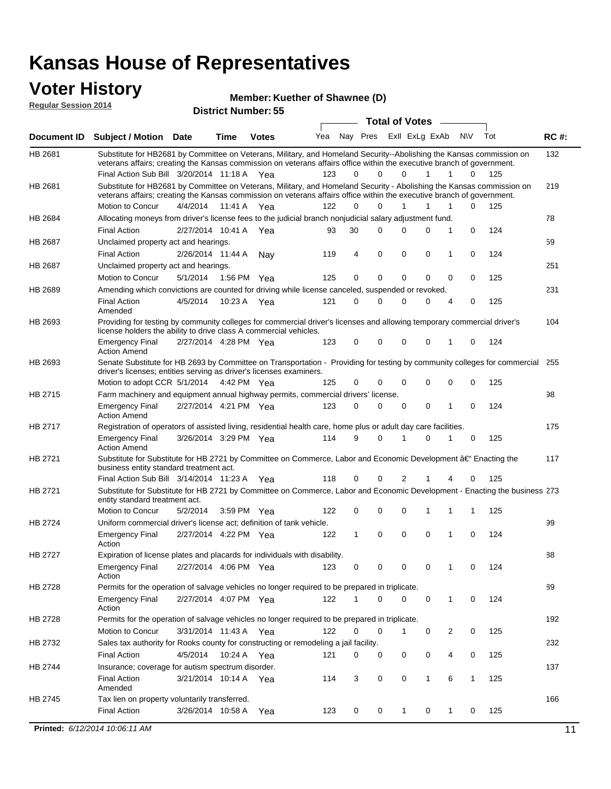#### **Voter History Regular Session 2014**

**Member: Kuether of Shawnee (D)** 

| nuyurur Uuddiun Luin |                                                                                                                                                                                                                                                                                               |                       |         | <b>District Number: 55</b> |     |             |             |                       |                |                  |     |             |
|----------------------|-----------------------------------------------------------------------------------------------------------------------------------------------------------------------------------------------------------------------------------------------------------------------------------------------|-----------------------|---------|----------------------------|-----|-------------|-------------|-----------------------|----------------|------------------|-----|-------------|
|                      |                                                                                                                                                                                                                                                                                               |                       |         |                            |     |             |             | <b>Total of Votes</b> |                |                  |     |             |
| <b>Document ID</b>   | <b>Subject / Motion Date</b>                                                                                                                                                                                                                                                                  |                       | Time    | <b>Votes</b>               | Yea | Nay Pres    |             |                       | ExII ExLg ExAb | N\V              | Tot | <b>RC#:</b> |
| HB 2681              | Substitute for HB2681 by Committee on Veterans, Military, and Homeland Security--Abolishing the Kansas commission on<br>veterans affairs; creating the Kansas commission on veterans affairs office within the executive branch of government.<br>Final Action Sub Bill 3/20/2014 11:18 A Yea |                       |         |                            | 123 | 0           | $\Omega$    | $\Omega$              | 1              | 1<br>0           | 125 | 132         |
|                      |                                                                                                                                                                                                                                                                                               |                       |         |                            |     |             |             |                       |                |                  |     |             |
| HB 2681              | Substitute for HB2681 by Committee on Veterans, Military, and Homeland Security - Abolishing the Kansas commission on<br>veterans affairs; creating the Kansas commission on veterans affairs office within the executive branch of government.                                               |                       |         |                            |     |             |             |                       |                |                  |     | 219         |
|                      | Motion to Concur                                                                                                                                                                                                                                                                              | 4/4/2014              | 11:41 A | Yea                        | 122 | $\Omega$    | 0           | $\mathbf{1}$          | 1              | 1<br>0           | 125 |             |
| HB 2684              | Allocating moneys from driver's license fees to the judicial branch nonjudicial salary adjustment fund.                                                                                                                                                                                       |                       |         |                            |     |             |             |                       |                |                  |     | 78          |
|                      | <b>Final Action</b>                                                                                                                                                                                                                                                                           | 2/27/2014 10:41 A     |         | Yea                        | 93  | 30          | $\Omega$    | $\Omega$              | 0              | 1<br>0           | 124 |             |
| HB 2687              | Unclaimed property act and hearings.                                                                                                                                                                                                                                                          |                       |         |                            |     |             |             |                       |                |                  |     | 59          |
|                      | <b>Final Action</b>                                                                                                                                                                                                                                                                           | 2/26/2014 11:44 A     |         | Nav                        | 119 | 4           | $\mathbf 0$ | 0                     | $\mathbf 0$    | 0<br>1           | 124 |             |
| HB 2687              | Unclaimed property act and hearings.                                                                                                                                                                                                                                                          |                       |         |                            |     |             |             |                       |                |                  |     | 251         |
|                      | Motion to Concur                                                                                                                                                                                                                                                                              | 5/1/2014              | 1:56 PM | Yea                        | 125 | 0           | $\mathbf 0$ | 0                     | 0              | 0<br>0           | 125 |             |
| HB 2689              | Amending which convictions are counted for driving while license canceled, suspended or revoked.                                                                                                                                                                                              |                       |         |                            |     |             |             |                       |                |                  |     | 231         |
|                      | <b>Final Action</b><br>Amended                                                                                                                                                                                                                                                                | 4/5/2014              | 10:23 A | Yea                        | 121 | $\mathbf 0$ | $\Omega$    | $\Omega$              | 0              | 0<br>4           | 125 |             |
| HB 2693              | Providing for testing by community colleges for commercial driver's licenses and allowing temporary commercial driver's<br>license holders the ability to drive class A commercial vehicles.                                                                                                  |                       |         |                            |     |             |             |                       |                |                  |     | 104         |
|                      | <b>Emergency Final</b><br><b>Action Amend</b>                                                                                                                                                                                                                                                 | 2/27/2014 4:28 PM Yea |         |                            | 123 | 0           | 0           | $\Omega$              | 0              | $\mathbf 0$<br>1 | 124 |             |
| HB 2693              | Senate Substitute for HB 2693 by Committee on Transportation - Providing for testing by community colleges for commercial<br>driver's licenses; entities serving as driver's licenses examiners.                                                                                              |                       |         |                            |     |             |             |                       |                |                  |     | 255         |
|                      | Motion to adopt CCR 5/1/2014 4:42 PM Yea                                                                                                                                                                                                                                                      |                       |         |                            | 125 | 0           | 0           | $\Omega$              | 0              | 0<br>0           | 125 |             |
| HB 2715              | Farm machinery and equipment annual highway permits, commercial drivers' license.                                                                                                                                                                                                             |                       |         |                            |     |             |             |                       |                |                  |     | 98          |
|                      | <b>Emergency Final</b><br><b>Action Amend</b>                                                                                                                                                                                                                                                 | 2/27/2014 4:21 PM Yea |         |                            | 123 | 0           | 0           | 0                     | 0              | 1<br>0           | 124 |             |
| HB 2717              | Registration of operators of assisted living, residential health care, home plus or adult day care facilities.                                                                                                                                                                                |                       |         |                            |     |             |             |                       |                |                  |     | 175         |
|                      | <b>Emergency Final</b><br><b>Action Amend</b>                                                                                                                                                                                                                                                 | 3/26/2014 3:29 PM Yea |         |                            | 114 | 9           | 0           |                       | $\Omega$       | 0                | 125 |             |
| HB 2721              | Substitute for Substitute for HB 2721 by Committee on Commerce, Labor and Economic Development †Enacting the<br>business entity standard treatment act.                                                                                                                                       |                       |         |                            |     |             |             |                       |                |                  |     | 117         |
|                      | Final Action Sub Bill 3/14/2014 11:23 A Yea                                                                                                                                                                                                                                                   |                       |         |                            | 118 | 0           | 0           | 2                     |                | 0<br>4           | 125 |             |
| HB 2721              | Substitute for Substitute for HB 2721 by Committee on Commerce, Labor and Economic Development - Enacting the business 273<br>entity standard treatment act.                                                                                                                                  |                       |         |                            |     |             |             |                       |                |                  |     |             |
|                      | Motion to Concur                                                                                                                                                                                                                                                                              | 5/2/2014              |         | 3:59 PM Yea                | 122 | 0           | 0           | $\Omega$              | 1              | 1<br>1           | 125 |             |
| HB 2724              | Uniform commercial driver's license act; definition of tank vehicle.<br><b>Emergency Final</b>                                                                                                                                                                                                | 2/27/2014 4:22 PM Yea |         |                            | 122 | 1           | 0           | 0                     | 0              | 1<br>0           | 124 | 99          |
|                      | Action                                                                                                                                                                                                                                                                                        |                       |         |                            |     |             |             |                       |                |                  |     |             |
| HB 2727              | Expiration of license plates and placards for individuals with disability.                                                                                                                                                                                                                    |                       |         |                            |     |             |             |                       |                |                  |     | 88          |
|                      | <b>Emergency Final</b><br>Action                                                                                                                                                                                                                                                              | 2/27/2014 4:06 PM Yea |         |                            | 123 | 0           | 0           | 0                     | 0              | 0                | 124 |             |
| HB 2728              | Permits for the operation of salvage vehicles no longer required to be prepared in triplicate.                                                                                                                                                                                                |                       |         |                            |     |             |             |                       |                |                  |     | 89          |
|                      | <b>Emergency Final</b><br>Action                                                                                                                                                                                                                                                              | 2/27/2014 4:07 PM Yea |         |                            | 122 | 1           | 0           | $\Omega$              | 0              | 1<br>0           | 124 |             |
| HB 2728              | Permits for the operation of salvage vehicles no longer required to be prepared in triplicate.                                                                                                                                                                                                |                       |         |                            |     |             |             |                       |                |                  |     | 192         |
|                      | Motion to Concur                                                                                                                                                                                                                                                                              | 3/31/2014 11:43 A Yea |         |                            | 122 | 0           | 0           | 1                     | 0              | 2<br>0           | 125 |             |
| HB 2732              | Sales tax authority for Rooks county for constructing or remodeling a jail facility.                                                                                                                                                                                                          |                       |         |                            |     |             |             |                       |                |                  |     | 232         |
|                      | <b>Final Action</b>                                                                                                                                                                                                                                                                           | 4/5/2014              |         | 10:24 A Yea                | 121 | 0           | 0           | 0                     | 0              | 4<br>0           | 125 |             |
| HB 2744              | Insurance; coverage for autism spectrum disorder.                                                                                                                                                                                                                                             |                       |         |                            |     |             |             |                       |                |                  |     | 137         |
|                      | <b>Final Action</b><br>Amended                                                                                                                                                                                                                                                                | 3/21/2014 10:14 A Yea |         |                            | 114 | 3           | 0           | 0                     | $\mathbf{1}$   | 6<br>1           | 125 |             |
| HB 2745              | Tax lien on property voluntarily transferred.                                                                                                                                                                                                                                                 |                       |         |                            |     |             |             |                       |                |                  |     | 166         |
|                      | <b>Final Action</b>                                                                                                                                                                                                                                                                           | 3/26/2014 10:58 A     |         | Yea                        | 123 | 0           | 0           | $\mathbf{1}$          | 0              | 1<br>0           | 125 |             |
|                      |                                                                                                                                                                                                                                                                                               |                       |         |                            |     |             |             |                       |                |                  |     |             |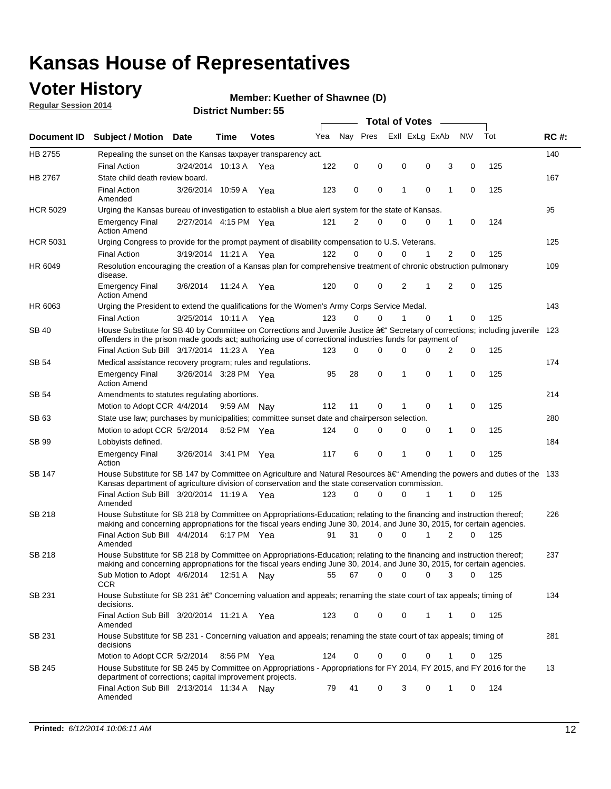## **Voter History**

**Regular Session 2014**

#### **Member: Kuether of Shawnee (D)**

|                    |                                                                                                                                                                                                                                      |                       |         | <b>Total of Votes</b> |     |          |          |   |                |             |                |             |     |             |
|--------------------|--------------------------------------------------------------------------------------------------------------------------------------------------------------------------------------------------------------------------------------|-----------------------|---------|-----------------------|-----|----------|----------|---|----------------|-------------|----------------|-------------|-----|-------------|
| <b>Document ID</b> | <b>Subject / Motion Date</b>                                                                                                                                                                                                         |                       | Time    | <b>Votes</b>          | Yea | Nav Pres |          |   | Exll ExLg ExAb |             | <b>NV</b>      |             | Tot | <b>RC#:</b> |
| HB 2755            | Repealing the sunset on the Kansas taxpayer transparency act.                                                                                                                                                                        |                       |         |                       |     |          |          |   |                |             |                |             |     | 140         |
|                    | <b>Final Action</b>                                                                                                                                                                                                                  | 3/24/2014 10:13 A     |         | Yea                   | 122 | 0        | 0        | 0 |                | 0           | 3              | 0           | 125 |             |
| HB 2767            | State child death review board.                                                                                                                                                                                                      |                       |         |                       |     |          |          |   |                |             |                |             |     | 167         |
|                    | <b>Final Action</b><br>Amended                                                                                                                                                                                                       | 3/26/2014 10:59 A     |         | Yea                   | 123 | 0        | 0        | 1 |                | $\mathbf 0$ | 1              | 0           | 125 |             |
| <b>HCR 5029</b>    | Urging the Kansas bureau of investigation to establish a blue alert system for the state of Kansas.                                                                                                                                  |                       |         |                       |     |          |          |   |                |             |                |             |     | 95          |
|                    | <b>Emergency Final</b><br><b>Action Amend</b>                                                                                                                                                                                        | 2/27/2014 4:15 PM Yea |         |                       | 121 | 2        | 0        | 0 |                | 0           | 1              | 0           | 124 |             |
| <b>HCR 5031</b>    | Urging Congress to provide for the prompt payment of disability compensation to U.S. Veterans.                                                                                                                                       |                       |         |                       |     |          |          |   |                |             |                |             |     | 125         |
|                    | <b>Final Action</b>                                                                                                                                                                                                                  | 3/19/2014 11:21 A Yea |         |                       | 122 | $\Omega$ | $\Omega$ | 0 |                | 1           | 2              | 0           | 125 |             |
| HR 6049            | Resolution encouraging the creation of a Kansas plan for comprehensive treatment of chronic obstruction pulmonary<br>disease.                                                                                                        |                       |         |                       |     |          |          |   |                |             |                |             |     | 109         |
|                    | <b>Emergency Final</b><br><b>Action Amend</b>                                                                                                                                                                                        | 3/6/2014              | 11:24 A | Yea                   | 120 | 0        | 0        | 2 |                | 1           | $\overline{2}$ | $\mathbf 0$ | 125 |             |
| HR 6063            | Urging the President to extend the qualifications for the Women's Army Corps Service Medal.                                                                                                                                          |                       |         |                       |     |          |          |   |                |             |                |             |     | 143         |
|                    | <b>Final Action</b>                                                                                                                                                                                                                  | 3/25/2014 10:11 A Yea |         |                       | 123 | $\Omega$ | $\Omega$ | 1 |                | $\Omega$    | 1              | 0           | 125 |             |
| SB 40              | House Substitute for SB 40 by Committee on Corrections and Juvenile Justice †Secretary of corrections; including juvenile<br>offenders in the prison made goods act; authorizing use of correctional industries funds for payment of |                       |         |                       |     |          |          |   |                |             |                |             |     | 123         |
|                    | Final Action Sub Bill 3/17/2014 11:23 A Yea                                                                                                                                                                                          |                       |         |                       | 123 | 0        | 0        | 0 |                | $\Omega$    | 2              | 0           | 125 |             |
| SB 54              | Medical assistance recovery program; rules and regulations.                                                                                                                                                                          |                       |         |                       |     |          |          |   |                |             |                |             |     | 174         |
|                    | <b>Emergency Final</b><br><b>Action Amend</b>                                                                                                                                                                                        | 3/26/2014 3:28 PM Yea |         |                       | 95  | 28       | 0        | 1 |                | 0           | 1              | 0           | 125 |             |
| SB 54              | Amendments to statutes regulating abortions.                                                                                                                                                                                         |                       |         |                       |     |          |          |   |                |             |                |             |     | 214         |
|                    | Motion to Adopt CCR 4/4/2014                                                                                                                                                                                                         |                       |         | 9:59 AM Nay           | 112 | 11       | 0        |   |                | $\mathbf 0$ | 1              | 0           | 125 |             |
| SB 63              | State use law; purchases by municipalities; committee sunset date and chairperson selection.                                                                                                                                         |                       |         |                       |     |          |          |   |                |             |                |             |     | 280         |
|                    | Motion to adopt CCR 5/2/2014                                                                                                                                                                                                         |                       |         | 8:52 PM Yea           | 124 | 0        | 0        | 0 |                | 0           | 1              | 0           | 125 |             |
| SB 99              | Lobbyists defined.                                                                                                                                                                                                                   |                       |         |                       |     |          |          |   |                |             |                |             |     | 184         |
|                    | <b>Emergency Final</b><br>Action                                                                                                                                                                                                     | 3/26/2014 3:41 PM Yea |         |                       | 117 | 6        | 0        | 1 |                | 0           | 1              | 0           | 125 |             |
| SB 147             | House Substitute for SB 147 by Committee on Agriculture and Natural Resources †Amending the powers and duties of the 133<br>Kansas department of agriculture division of conservation and the state conservation commission.         |                       |         |                       |     |          |          |   |                |             |                |             |     |             |
|                    | Final Action Sub Bill 3/20/2014 11:19 A Yea<br>Amended                                                                                                                                                                               |                       |         |                       | 123 | 0        | $\Omega$ | 0 |                | 1           | 1              | 0           | 125 |             |
| SB 218             | House Substitute for SB 218 by Committee on Appropriations-Education; relating to the financing and instruction thereof;                                                                                                             |                       |         |                       |     |          |          |   |                |             |                |             |     | 226         |
|                    | making and concerning appropriations for the fiscal years ending June 30, 2014, and June 30, 2015, for certain agencies.<br>Final Action Sub Bill 4/4/2014                                                                           |                       |         | 6:17 PM Yea           | 91  | 31       | $\Omega$ | 0 |                | 1           | $\overline{2}$ | $\Omega$    | 125 |             |
|                    | Amended                                                                                                                                                                                                                              |                       |         |                       |     |          |          |   |                |             |                |             |     |             |
| SB 218             | House Substitute for SB 218 by Committee on Appropriations-Education; relating to the financing and instruction thereof;                                                                                                             |                       |         |                       |     |          |          |   |                |             |                |             |     | 237         |
|                    | making and concerning appropriations for the fiscal years ending June 30, 2014, and June 30, 2015, for certain agencies.                                                                                                             |                       |         |                       |     |          |          |   |                |             |                |             |     |             |
|                    | Sub Motion to Adopt 4/6/2014 12:51 A Nay                                                                                                                                                                                             |                       |         |                       | 55  | 67       | 0        | 0 |                | 0           | 3              | 0           | 125 |             |
| SB 231             | <b>CCR</b><br>House Substitute for SB 231 †Concerning valuation and appeals; renaming the state court of tax appeals; timing of                                                                                                      |                       |         |                       |     |          |          |   |                |             |                |             |     | 134         |
|                    | decisions.<br>Final Action Sub Bill 3/20/2014 11:21 A Yea                                                                                                                                                                            |                       |         |                       | 123 | 0        | 0        | 0 |                | 1           | 1              | 0           | 125 |             |
|                    | Amended                                                                                                                                                                                                                              |                       |         |                       |     |          |          |   |                |             |                |             |     |             |
| SB 231             | House Substitute for SB 231 - Concerning valuation and appeals; renaming the state court of tax appeals; timing of<br>decisions                                                                                                      |                       |         |                       |     |          |          |   |                |             |                |             |     | 281         |
|                    | Motion to Adopt CCR 5/2/2014                                                                                                                                                                                                         |                       |         | 8:56 PM Yea           | 124 | 0        | 0        | 0 |                | $\mathbf 0$ | 1              | 0           | 125 |             |
| SB 245             | House Substitute for SB 245 by Committee on Appropriations - Appropriations for FY 2014, FY 2015, and FY 2016 for the<br>department of corrections; capital improvement projects.                                                    |                       |         |                       |     |          |          |   |                |             |                |             |     | 13          |
|                    | Final Action Sub Bill 2/13/2014 11:34 A Nay<br>Amended                                                                                                                                                                               |                       |         |                       | 79  | 41       | 0        | 3 |                | 0           | 1              | 0           | 124 |             |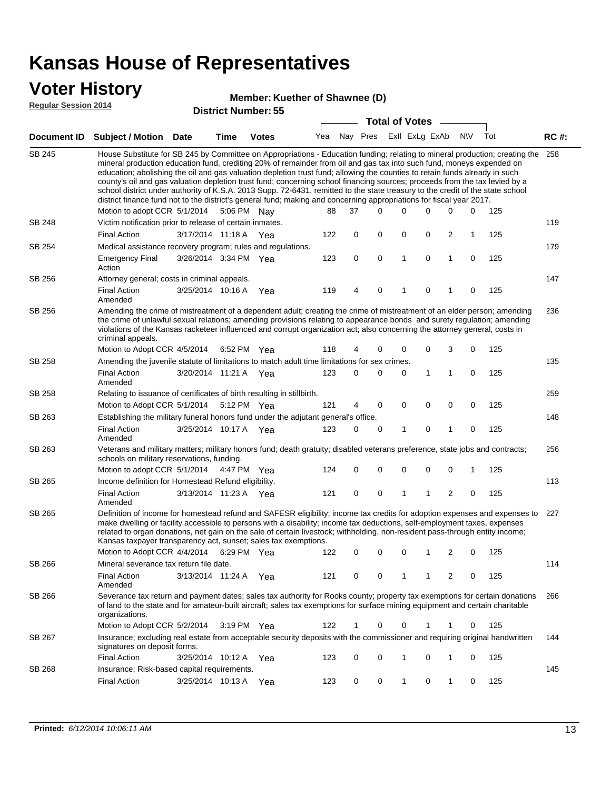### **Voter History**

#### **Member: Kuether of Shawnee (D)**

**Regular Session 2014**

|               |                                                                                                                                                                                                                                                                                                                                                                                                                                                                                                                                                                                                                                                                                                                                                                                                               |                       |             | DISTICT MAILING 1. 33 |     |          |   | <b>Total of Votes</b> |   |                |                         |              |     |             |
|---------------|---------------------------------------------------------------------------------------------------------------------------------------------------------------------------------------------------------------------------------------------------------------------------------------------------------------------------------------------------------------------------------------------------------------------------------------------------------------------------------------------------------------------------------------------------------------------------------------------------------------------------------------------------------------------------------------------------------------------------------------------------------------------------------------------------------------|-----------------------|-------------|-----------------------|-----|----------|---|-----------------------|---|----------------|-------------------------|--------------|-----|-------------|
|               | Document ID Subject / Motion Date                                                                                                                                                                                                                                                                                                                                                                                                                                                                                                                                                                                                                                                                                                                                                                             |                       | <b>Time</b> | <b>Votes</b>          | Yea | Nay Pres |   |                       |   | Exll ExLg ExAb |                         | <b>NV</b>    | Tot | <b>RC#:</b> |
| <b>SB 245</b> | House Substitute for SB 245 by Committee on Appropriations - Education funding; relating to mineral production; creating the<br>mineral production education fund, crediting 20% of remainder from oil and gas tax into such fund, moneys expended on<br>education; abolishing the oil and gas valuation depletion trust fund; allowing the counties to retain funds already in such<br>county's oil and gas valuation depletion trust fund; concerning school financing sources; proceeds from the tax levied by a<br>school district under authority of K.S.A. 2013 Supp. 72-6431, remitted to the state treasury to the credit of the state school<br>district finance fund not to the district's general fund; making and concerning appropriations for fiscal year 2017.<br>Motion to adopt CCR 5/1/2014 |                       |             | 5:06 PM Nay           | 88  | 37       |   | $\Omega$              | 0 | 0              | 0                       | 0            | 125 | 258         |
| <b>SB 248</b> | Victim notification prior to release of certain inmates.                                                                                                                                                                                                                                                                                                                                                                                                                                                                                                                                                                                                                                                                                                                                                      |                       |             |                       |     |          |   |                       |   |                |                         |              |     | 119         |
|               | <b>Final Action</b>                                                                                                                                                                                                                                                                                                                                                                                                                                                                                                                                                                                                                                                                                                                                                                                           | 3/17/2014 11:18 A Yea |             |                       | 122 |          | 0 | 0                     | 0 | 0              | 2                       | $\mathbf{1}$ | 125 |             |
| SB 254        | Medical assistance recovery program; rules and regulations.                                                                                                                                                                                                                                                                                                                                                                                                                                                                                                                                                                                                                                                                                                                                                   |                       |             |                       |     |          |   |                       |   |                |                         |              |     | 179         |
|               | <b>Emergency Final</b><br>Action                                                                                                                                                                                                                                                                                                                                                                                                                                                                                                                                                                                                                                                                                                                                                                              | 3/26/2014 3:34 PM Yea |             |                       | 123 |          | 0 | $\mathbf 0$           | 1 | 0              | $\mathbf{1}$            | 0            | 125 |             |
| SB 256        | Attorney general; costs in criminal appeals.                                                                                                                                                                                                                                                                                                                                                                                                                                                                                                                                                                                                                                                                                                                                                                  |                       |             |                       |     |          |   |                       |   |                |                         |              |     | 147         |
|               | <b>Final Action</b><br>Amended                                                                                                                                                                                                                                                                                                                                                                                                                                                                                                                                                                                                                                                                                                                                                                                | 3/25/2014 10:16 A     |             | Yea                   | 119 |          | 4 | 0                     | 1 | 0              | 1                       | 0            | 125 |             |
| SB 256        | Amending the crime of mistreatment of a dependent adult; creating the crime of mistreatment of an elder person; amending<br>the crime of unlawful sexual relations; amending provisions relating to appearance bonds and surety regulation; amending<br>violations of the Kansas racketeer influenced and corrupt organization act; also concerning the attorney general, costs in<br>criminal appeals.                                                                                                                                                                                                                                                                                                                                                                                                       |                       |             |                       |     |          |   |                       |   |                |                         |              |     | 236         |
|               | Motion to Adopt CCR 4/5/2014 6:52 PM Yea                                                                                                                                                                                                                                                                                                                                                                                                                                                                                                                                                                                                                                                                                                                                                                      |                       |             |                       | 118 |          | 4 | 0                     | 0 | 0              | 3                       | 0            | 125 |             |
| <b>SB 258</b> | Amending the juvenile statute of limitations to match adult time limitations for sex crimes.                                                                                                                                                                                                                                                                                                                                                                                                                                                                                                                                                                                                                                                                                                                  |                       |             |                       |     |          |   |                       |   |                |                         |              |     | 135         |
|               | <b>Final Action</b><br>Amended                                                                                                                                                                                                                                                                                                                                                                                                                                                                                                                                                                                                                                                                                                                                                                                | 3/20/2014 11:21 A Yea |             |                       | 123 |          | 0 | 0                     | 0 | 1              | 1                       | 0            | 125 |             |
| SB 258        | Relating to issuance of certificates of birth resulting in stillbirth.                                                                                                                                                                                                                                                                                                                                                                                                                                                                                                                                                                                                                                                                                                                                        |                       |             |                       |     |          |   |                       |   |                |                         |              |     | 259         |
|               | Motion to Adopt CCR 5/1/2014 5:12 PM Yea                                                                                                                                                                                                                                                                                                                                                                                                                                                                                                                                                                                                                                                                                                                                                                      |                       |             |                       | 121 |          | 4 | 0                     | 0 | $\mathbf 0$    | 0                       | 0            | 125 |             |
| SB 263        | Establishing the military funeral honors fund under the adjutant general's office.                                                                                                                                                                                                                                                                                                                                                                                                                                                                                                                                                                                                                                                                                                                            |                       |             |                       |     |          |   |                       |   |                |                         |              |     | 148         |
|               | <b>Final Action</b><br>Amended                                                                                                                                                                                                                                                                                                                                                                                                                                                                                                                                                                                                                                                                                                                                                                                | 3/25/2014 10:17 A Yea |             |                       | 123 |          | 0 | 0                     | 1 | 0              | 1                       | 0            | 125 |             |
| SB 263        | Veterans and military matters; military honors fund; death gratuity; disabled veterans preference, state jobs and contracts;<br>schools on military reservations, funding.                                                                                                                                                                                                                                                                                                                                                                                                                                                                                                                                                                                                                                    |                       |             |                       |     |          |   |                       |   |                |                         |              |     | 256         |
|               | Motion to adopt CCR 5/1/2014 4:47 PM Yea                                                                                                                                                                                                                                                                                                                                                                                                                                                                                                                                                                                                                                                                                                                                                                      |                       |             |                       | 124 |          | 0 | 0                     | 0 | 0              | $\mathbf 0$             | 1            | 125 |             |
| SB 265        | Income definition for Homestead Refund eligibility.                                                                                                                                                                                                                                                                                                                                                                                                                                                                                                                                                                                                                                                                                                                                                           |                       |             |                       |     |          |   |                       |   |                |                         |              |     | 113         |
|               | <b>Final Action</b><br>Amended                                                                                                                                                                                                                                                                                                                                                                                                                                                                                                                                                                                                                                                                                                                                                                                | 3/13/2014 11:23 A Yea |             |                       | 121 |          | 0 | 0                     | 1 | 1              | $\overline{\mathbf{c}}$ | 0            | 125 |             |
| SB 265        | Definition of income for homestead refund and SAFESR eligibility; income tax credits for adoption expenses and expenses to<br>make dwelling or facility accessible to persons with a disability; income tax deductions, self-employment taxes, expenses<br>related to organ donations, net gain on the sale of certain livestock; withholding, non-resident pass-through entity income;<br>Kansas taxpayer transparency act, sunset; sales tax exemptions.<br>Motion to Adopt CCR 4/4/2014                                                                                                                                                                                                                                                                                                                    |                       |             | 6:29 PM Yea           | 122 |          | 0 | 0                     | 0 | 1              | 2                       | 0            | 125 | 227         |
|               |                                                                                                                                                                                                                                                                                                                                                                                                                                                                                                                                                                                                                                                                                                                                                                                                               |                       |             |                       |     |          |   |                       |   |                |                         |              |     |             |
| SB 266        | Mineral severance tax return file date.                                                                                                                                                                                                                                                                                                                                                                                                                                                                                                                                                                                                                                                                                                                                                                       |                       |             |                       |     |          |   |                       |   |                |                         |              |     | 114         |
|               | <b>Final Action</b><br>Amended                                                                                                                                                                                                                                                                                                                                                                                                                                                                                                                                                                                                                                                                                                                                                                                | 3/13/2014 11:24 A     |             | Yea                   | 121 |          | 0 | 0                     | 1 | 1              | 2                       | 0            | 125 |             |
| SB 266        | Severance tax return and payment dates; sales tax authority for Rooks county; property tax exemptions for certain donations<br>of land to the state and for amateur-built aircraft; sales tax exemptions for surface mining equipment and certain charitable<br>organizations.                                                                                                                                                                                                                                                                                                                                                                                                                                                                                                                                |                       |             |                       |     |          |   |                       |   |                |                         |              |     | 266         |
|               | Motion to Adopt CCR 5/2/2014                                                                                                                                                                                                                                                                                                                                                                                                                                                                                                                                                                                                                                                                                                                                                                                  |                       |             | $3:19 \text{ PM}$ Yea | 122 |          | 1 | 0                     | 0 | 1              | 1                       | 0            | 125 |             |
| SB 267        | Insurance; excluding real estate from acceptable security deposits with the commissioner and requiring original handwritten<br>signatures on deposit forms.                                                                                                                                                                                                                                                                                                                                                                                                                                                                                                                                                                                                                                                   |                       |             |                       |     |          |   |                       |   |                |                         |              |     | 144         |
|               | <b>Final Action</b>                                                                                                                                                                                                                                                                                                                                                                                                                                                                                                                                                                                                                                                                                                                                                                                           | 3/25/2014 10:12 A     |             | Yea                   | 123 |          | 0 | 0                     | 1 | 0              | 1                       | 0            | 125 |             |
| SB 268        | Insurance; Risk-based capital requirements.                                                                                                                                                                                                                                                                                                                                                                                                                                                                                                                                                                                                                                                                                                                                                                   |                       |             |                       |     |          |   |                       |   |                |                         |              |     | 145         |
|               | <b>Final Action</b>                                                                                                                                                                                                                                                                                                                                                                                                                                                                                                                                                                                                                                                                                                                                                                                           | 3/25/2014 10:13 A     |             | Yea                   | 123 |          | 0 | 0                     | 1 | 0              | 1                       | 0            | 125 |             |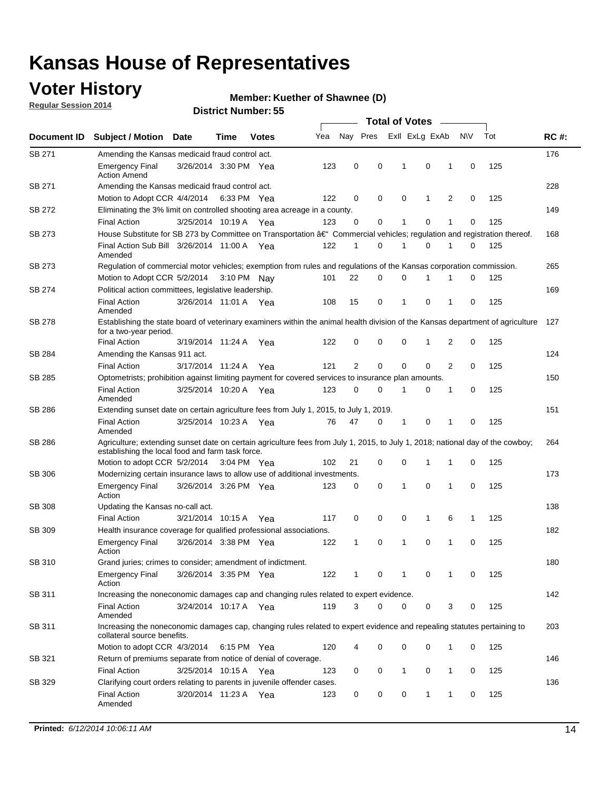## **Voter History**

**Regular Session 2014**

#### **Member: Kuether of Shawnee (D)**

|                    |                                                                                                                                                                                    |                       |      |              |     | <b>Total of Votes</b> |   |                         |             |                |             |     |             |  |  |
|--------------------|------------------------------------------------------------------------------------------------------------------------------------------------------------------------------------|-----------------------|------|--------------|-----|-----------------------|---|-------------------------|-------------|----------------|-------------|-----|-------------|--|--|
| Document <b>ID</b> | <b>Subject / Motion Date</b>                                                                                                                                                       |                       | Time | <b>Votes</b> | Yea |                       |   | Nay Pres ExII ExLg ExAb |             |                | <b>NV</b>   | Tot | <b>RC#:</b> |  |  |
| <b>SB 271</b>      | Amending the Kansas medicaid fraud control act.                                                                                                                                    |                       |      |              |     |                       |   |                         |             |                |             |     | 176         |  |  |
|                    | <b>Emergency Final</b><br><b>Action Amend</b>                                                                                                                                      | 3/26/2014 3:30 PM Yea |      |              | 123 | 0                     | 0 | $\mathbf 1$             | $\mathbf 0$ | 1              | $\mathbf 0$ | 125 |             |  |  |
| SB 271             | Amending the Kansas medicaid fraud control act.                                                                                                                                    |                       |      |              |     |                       |   |                         |             |                |             |     | 228         |  |  |
|                    | Motion to Adopt CCR 4/4/2014 6:33 PM Yea                                                                                                                                           |                       |      |              | 122 | 0                     | 0 | $\mathbf 0$             | 1           | 2              | $\mathbf 0$ | 125 |             |  |  |
| SB 272             | Eliminating the 3% limit on controlled shooting area acreage in a county.                                                                                                          |                       |      |              |     |                       |   |                         |             |                |             |     | 149         |  |  |
|                    | <b>Final Action</b>                                                                                                                                                                | 3/25/2014 10:19 A Yea |      |              | 123 | 0                     | 0 | 1                       | $\mathbf 0$ | 1              | $\Omega$    | 125 |             |  |  |
| SB 273             | House Substitute for SB 273 by Committee on Transportation â€ <sup>4</sup> Commercial vehicles; regulation and registration thereof.                                               |                       |      |              |     |                       |   |                         |             |                |             |     | 168         |  |  |
|                    | Final Action Sub Bill 3/26/2014 11:00 A Yea<br>Amended                                                                                                                             |                       |      |              | 122 | $\mathbf{1}$          | 0 | 1                       | $\mathbf 0$ | 1              | 0           | 125 |             |  |  |
| SB 273             | Regulation of commercial motor vehicles; exemption from rules and regulations of the Kansas corporation commission.                                                                |                       |      |              |     |                       |   |                         |             |                |             |     | 265         |  |  |
|                    | Motion to Adopt CCR 5/2/2014 3:10 PM Nay                                                                                                                                           |                       |      |              | 101 | 22                    | 0 | 0                       | 1           | 1              | 0           | 125 |             |  |  |
| SB 274             | Political action committees, legislative leadership.                                                                                                                               |                       |      |              |     |                       |   |                         |             |                |             |     | 169         |  |  |
|                    | <b>Final Action</b><br>Amended                                                                                                                                                     | 3/26/2014 11:01 A Yea |      |              | 108 | 15                    | 0 | 1                       | $\mathbf 0$ | 1              | $\mathbf 0$ | 125 |             |  |  |
| SB 278             | Establishing the state board of veterinary examiners within the animal health division of the Kansas department of agriculture<br>for a two-year period.                           |                       |      |              |     |                       |   |                         |             |                |             |     | 127         |  |  |
|                    | <b>Final Action</b>                                                                                                                                                                | 3/19/2014 11:24 A     |      | Yea          | 122 | 0                     | 0 | 0                       | 1           | 2              | 0           | 125 |             |  |  |
| SB 284             | Amending the Kansas 911 act.                                                                                                                                                       |                       |      |              |     |                       |   |                         |             |                |             |     | 124         |  |  |
|                    | <b>Final Action</b>                                                                                                                                                                | 3/17/2014 11:24 A     |      | Yea          | 121 | $\overline{2}$        | 0 | $\mathbf 0$             | $\mathbf 0$ | $\overline{2}$ | 0           | 125 |             |  |  |
| SB 285             | Optometrists; prohibition against limiting payment for covered services to insurance plan amounts.                                                                                 |                       |      |              |     |                       |   |                         |             |                |             |     | 150         |  |  |
|                    | <b>Final Action</b><br>Amended                                                                                                                                                     | 3/25/2014 10:20 A     |      | Yea          | 123 | 0                     | 0 | 1                       | 0           | 1              | 0           | 125 |             |  |  |
| SB 286             | Extending sunset date on certain agriculture fees from July 1, 2015, to July 1, 2019.                                                                                              |                       |      |              |     |                       |   |                         |             |                |             |     | 151         |  |  |
|                    | <b>Final Action</b><br>Amended                                                                                                                                                     | 3/25/2014 10:23 A Yea |      |              | 76  | 47                    | 0 | 1                       | 0           | 1              | 0           | 125 |             |  |  |
| SB 286             | Agriculture; extending sunset date on certain agriculture fees from July 1, 2015, to July 1, 2018; national day of the cowboy;<br>establishing the local food and farm task force. |                       |      |              |     |                       |   |                         |             |                |             |     | 264         |  |  |
|                    | Motion to adopt CCR 5/2/2014 3:04 PM Yea                                                                                                                                           |                       |      |              | 102 | 21                    | 0 | $\mathbf 0$             | 1           | 1              | 0           | 125 |             |  |  |
| SB 306             | Modernizing certain insurance laws to allow use of additional investments.                                                                                                         |                       |      |              |     |                       |   |                         |             |                |             |     | 173         |  |  |
|                    | <b>Emergency Final</b><br>Action                                                                                                                                                   | 3/26/2014 3:26 PM Yea |      |              | 123 | 0                     | 0 | 1                       | 0           | 1              | 0           | 125 |             |  |  |
| <b>SB 308</b>      | Updating the Kansas no-call act.                                                                                                                                                   |                       |      |              |     |                       |   |                         |             |                |             |     | 138         |  |  |
|                    | <b>Final Action</b>                                                                                                                                                                | 3/21/2014 10:15 A     |      | Yea          | 117 | 0                     | 0 | 0                       | 1           | 6              | 1           | 125 |             |  |  |
| SB 309             | Health insurance coverage for qualified professional associations.                                                                                                                 |                       |      |              |     |                       |   |                         |             |                |             |     | 182         |  |  |
|                    | <b>Emergency Final</b><br>Action                                                                                                                                                   | 3/26/2014 3:38 PM Yea |      |              | 122 | 1                     | 0 | 1                       | $\mathbf 0$ | 1              | $\Omega$    | 125 |             |  |  |
| SB 310             | Grand juries; crimes to consider; amendment of indictment.                                                                                                                         |                       |      |              |     |                       |   |                         |             |                |             |     | 180         |  |  |
|                    | <b>Emergency Final</b><br>Action                                                                                                                                                   | 3/26/2014 3:35 PM Yea |      |              | 122 | 1                     | 0 | 1                       | 0           | 1              | 0           | 125 |             |  |  |
| SB 311             | Increasing the noneconomic damages cap and changing rules related to expert evidence.                                                                                              |                       |      |              |     |                       |   |                         |             |                |             |     | 142         |  |  |
|                    | <b>Final Action</b><br>Amended                                                                                                                                                     | 3/24/2014 10:17 A Yea |      |              | 119 | 3                     | 0 | 0                       | 0           | 3              | 0           | 125 |             |  |  |
| SB 311             | Increasing the noneconomic damages cap, changing rules related to expert evidence and repealing statutes pertaining to<br>collateral source benefits.                              |                       |      |              |     |                       |   |                         |             |                |             |     | 203         |  |  |
|                    | Motion to adopt CCR 4/3/2014 6:15 PM Yea                                                                                                                                           |                       |      |              | 120 | 4                     | 0 | 0                       | 0           | 1              | 0           | 125 |             |  |  |
| SB 321             | Return of premiums separate from notice of denial of coverage.                                                                                                                     |                       |      |              |     |                       |   |                         |             |                |             |     | 146         |  |  |
|                    | <b>Final Action</b>                                                                                                                                                                | 3/25/2014 10:15 A Yea |      |              | 123 | 0                     | 0 | 1                       | 0           | $\mathbf{1}$   | 0           | 125 |             |  |  |
| SB 329             | Clarifying court orders relating to parents in juvenile offender cases.<br><b>Final Action</b><br>Amended                                                                          | 3/20/2014 11:23 A Yea |      |              | 123 | 0                     | 0 | 0                       | 1           | 1              | 0           | 125 | 136         |  |  |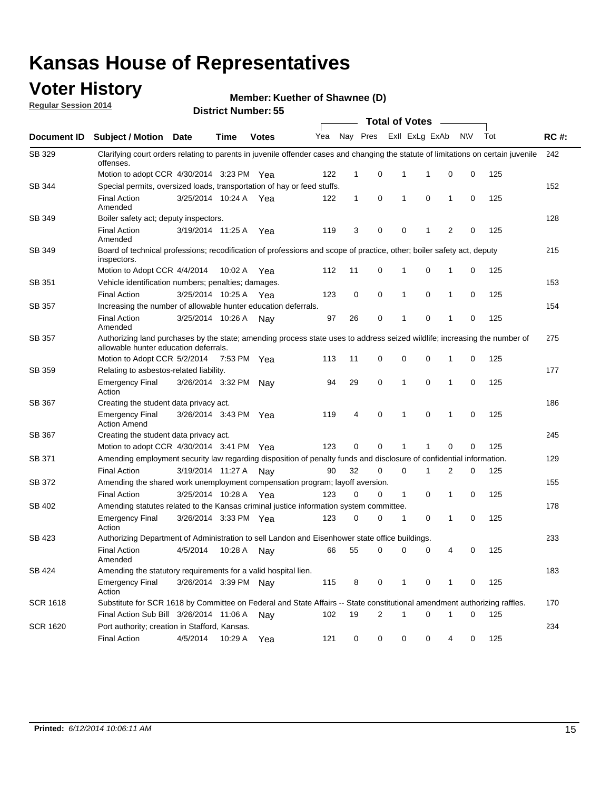## **Voter History**

**Regular Session 2014**

**Member: Kuether of Shawnee (D)** 

|                    |                                                                                                                                                                    |                       |             |              |     |              |   |   | <b>Total of Votes</b> |              |           |     |             |
|--------------------|--------------------------------------------------------------------------------------------------------------------------------------------------------------------|-----------------------|-------------|--------------|-----|--------------|---|---|-----------------------|--------------|-----------|-----|-------------|
| <b>Document ID</b> | <b>Subject / Motion Date</b>                                                                                                                                       |                       | Time        | <b>Votes</b> | Yea | Nay Pres     |   |   | Exll ExLg ExAb        |              | <b>NV</b> | Tot | <b>RC#:</b> |
| SB 329             | Clarifying court orders relating to parents in juvenile offender cases and changing the statute of limitations on certain juvenile<br>offenses.                    |                       |             |              |     |              |   |   |                       |              |           |     | 242         |
|                    | Motion to adopt CCR 4/30/2014 3:23 PM Yea                                                                                                                          |                       |             |              | 122 | 1            | 0 | 1 | 1                     | 0            | 0         | 125 |             |
| <b>SB 344</b>      | Special permits, oversized loads, transportation of hay or feed stuffs.                                                                                            |                       |             |              |     |              |   |   |                       |              |           |     | 152         |
|                    | <b>Final Action</b><br>Amended                                                                                                                                     | 3/25/2014 10:24 A     |             | Yea          | 122 | $\mathbf{1}$ | 0 | 1 | $\mathbf 0$           | 1            | 0         | 125 |             |
| SB 349             | Boiler safety act; deputy inspectors.                                                                                                                              |                       |             |              |     |              |   |   |                       |              |           |     | 128         |
|                    | <b>Final Action</b><br>Amended                                                                                                                                     | 3/19/2014 11:25 A     |             | Yea          | 119 | 3            | 0 | 0 | 1                     | 2            | 0         | 125 |             |
| SB 349             | Board of technical professions; recodification of professions and scope of practice, other; boiler safety act, deputy<br>inspectors.                               |                       |             |              |     |              |   |   |                       |              |           |     | 215         |
|                    | Motion to Adopt CCR 4/4/2014                                                                                                                                       |                       | 10:02 A     | Yea          | 112 | 11           | 0 | 1 | 0                     | 1            | 0         | 125 |             |
| SB 351             | Vehicle identification numbers; penalties; damages.                                                                                                                |                       |             |              |     |              |   |   |                       |              |           |     | 153         |
|                    | <b>Final Action</b>                                                                                                                                                | 3/25/2014 10:25 A     |             | Yea          | 123 | 0            | 0 | 1 | 0                     | 1            | 0         | 125 |             |
| SB 357             | Increasing the number of allowable hunter education deferrals.                                                                                                     |                       |             |              |     |              |   |   |                       |              |           |     | 154         |
|                    | <b>Final Action</b><br>Amended                                                                                                                                     | 3/25/2014 10:26 A     |             | Nav          | 97  | 26           | 0 | 1 | 0                     | 1            | 0         | 125 |             |
| SB 357             | Authorizing land purchases by the state; amending process state uses to address seized wildlife; increasing the number of<br>allowable hunter education deferrals. |                       |             |              |     |              |   |   |                       |              |           |     | 275         |
|                    | Motion to Adopt CCR 5/2/2014                                                                                                                                       |                       | 7:53 PM Yea |              | 113 | 11           | 0 | 0 | $\mathbf 0$           | 1            | 0         | 125 |             |
| SB 359             | Relating to asbestos-related liability.                                                                                                                            |                       |             |              |     |              |   |   |                       |              |           |     | 177         |
|                    | <b>Emergency Final</b><br>Action                                                                                                                                   | 3/26/2014 3:32 PM Nay |             |              | 94  | 29           | 0 | 1 | $\mathbf 0$           | 1            | 0         | 125 |             |
| <b>SB 367</b>      | Creating the student data privacy act.                                                                                                                             |                       |             |              |     |              |   |   |                       |              |           |     |             |
|                    | <b>Emergency Final</b><br><b>Action Amend</b>                                                                                                                      | 3/26/2014 3:43 PM Yea |             |              | 119 | 4            | 0 | 1 | $\mathbf 0$           | $\mathbf{1}$ | 0         | 125 |             |
| SB 367             | Creating the student data privacy act.                                                                                                                             |                       |             |              |     |              |   |   |                       |              |           |     | 245         |
|                    | Motion to adopt CCR 4/30/2014 3:41 PM Yea                                                                                                                          |                       |             |              | 123 | 0            | 0 | 1 |                       | $\mathbf 0$  | 0         | 125 |             |
| SB 371             | Amending employment security law regarding disposition of penalty funds and disclosure of confidential information.                                                |                       |             |              |     |              |   |   |                       |              |           |     | 129         |
|                    | <b>Final Action</b>                                                                                                                                                | 3/19/2014 11:27 A     |             | Nav          | 90  | 32           | 0 | 0 | 1                     | 2            | 0         | 125 |             |
| <b>SB 372</b>      | Amending the shared work unemployment compensation program; layoff aversion.                                                                                       |                       |             |              |     |              |   |   |                       |              |           |     | 155         |
|                    | <b>Final Action</b>                                                                                                                                                | 3/25/2014 10:28 A     |             | Yea          | 123 | 0            | 0 | 1 | 0                     | 1            | 0         | 125 |             |
| SB 402             | Amending statutes related to the Kansas criminal justice information system committee.                                                                             |                       |             |              |     |              |   |   |                       |              |           |     | 178         |
|                    | <b>Emergency Final</b><br>Action                                                                                                                                   | 3/26/2014 3:33 PM Yea |             |              | 123 | 0            | 0 | 1 | 0                     | 1            | 0         | 125 |             |
| SB 423             | Authorizing Department of Administration to sell Landon and Eisenhower state office buildings.                                                                     |                       |             |              |     |              |   |   |                       |              |           |     | 233         |
|                    | <b>Final Action</b><br>Amended                                                                                                                                     | 4/5/2014              | 10:28 A     | Nay          | 66  | 55           | 0 | 0 | 0                     | 4            | 0         | 125 |             |
| SB 424             | Amending the statutory requirements for a valid hospital lien.                                                                                                     |                       |             |              |     |              |   |   |                       |              |           |     | 183         |
|                    | <b>Emergency Final</b><br>Action                                                                                                                                   | 3/26/2014 3:39 PM Nay |             |              | 115 | 8            | 0 | 1 | 0                     | 1            | 0         | 125 |             |
| <b>SCR 1618</b>    | Substitute for SCR 1618 by Committee on Federal and State Affairs -- State constitutional amendment authorizing raffles.                                           |                       |             |              |     |              |   |   |                       |              |           |     | 170         |
|                    | Final Action Sub Bill 3/26/2014 11:06 A                                                                                                                            |                       |             | Nav          | 102 | 19           | 2 | 1 | $\mathbf 0$           | 1            | 0         | 125 |             |
| SCR 1620           | Port authority; creation in Stafford, Kansas.                                                                                                                      |                       |             |              |     |              |   |   |                       |              |           |     | 234         |
|                    | <b>Final Action</b>                                                                                                                                                | 4/5/2014              | 10:29 A     | Yea          | 121 | 0            | 0 | 0 | 0                     | 4            | 0         | 125 |             |